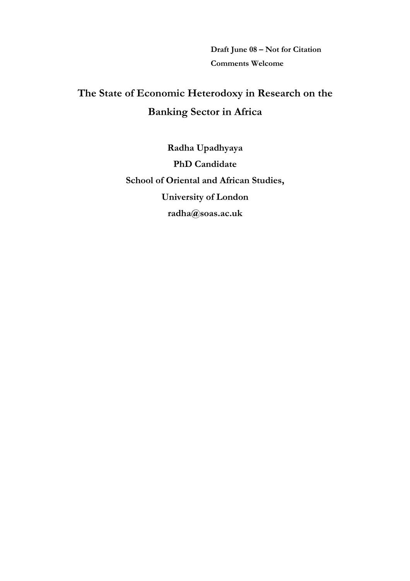Draft June 08 – Not for Citation Comments Welcome

# The State of Economic Heterodoxy in Research on the Banking Sector in Africa

Radha Upadhyaya PhD Candidate School of Oriental and African Studies, University of London radha@soas.ac.uk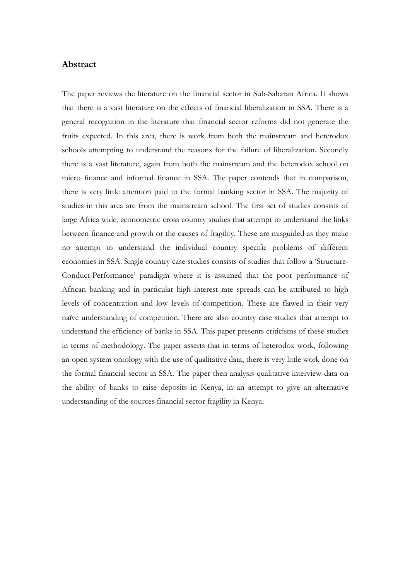### Abstract

The paper reviews the literature on the financial sector in Sub-Saharan Africa. It shows that there is a vast literature on the effects of financial liberalization in SSA. There is a general recognition in the literature that financial sector reforms did not generate the fruits expected. In this area, there is work from both the mainstream and heterodox schools attempting to understand the reasons for the failure of liberalization. Secondly there is a vast literature, again from both the mainstream and the heterodox school on micro finance and informal finance in SSA. The paper contends that in comparison, there is very little attention paid to the formal banking sector in SSA. The majority of studies in this area are from the mainstream school. The first set of studies consists of large Africa wide, econometric cross country studies that attempt to understand the links between finance and growth or the causes of fragility. These are misguided as they make no attempt to understand the individual country specific problems of different economies in SSA. Single country case studies consists of studies that follow a 'Structure-Conduct-Performance' paradigm where it is assumed that the poor performance of African banking and in particular high interest rate spreads can be attributed to high levels of concentration and low levels of competition. These are flawed in their very naïve understanding of competition. There are also country case studies that attempt to understand the efficiency of banks in SSA. This paper presents criticisms of these studies in terms of methodology. The paper asserts that in terms of heterodox work, following an open system ontology with the use of qualitative data, there is very little work done on the formal financial sector in SSA. The paper then analysis qualitative interview data on the ability of banks to raise deposits in Kenya, in an attempt to give an alternative understanding of the sources financial sector fragility in Kenya.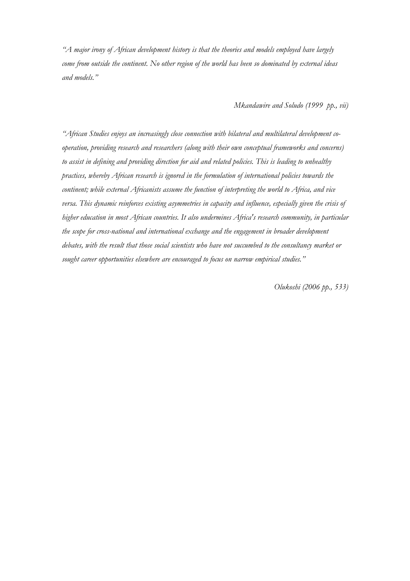"A major irony of African development history is that the theories and models employed have largely come from outside the continent. No other region of the world has been so dominated by external ideas and models."

Mkandawire and Soludo (1999 pp., vii)

"African Studies enjoys an increasingly close connection with bilateral and multilateral development cooperation, providing research and researchers (along with their own conceptual frameworks and concerns) to assist in defining and providing direction for aid and related policies. This is leading to unhealthy practices, whereby African research is ignored in the formulation of international policies towards the continent; while external Africanists assume the function of interpreting the world to Africa, and vice versa. This dynamic reinforces existing asymmetries in capacity and influence, especially given the crisis of higher education in most African countries. It also undermines Africa's research community, in particular the scope for cross-national and international exchange and the engagement in broader development debates, with the result that those social scientists who have not succumbed to the consultancy market or sought career opportunities elsewhere are encouraged to focus on narrow empirical studies."

Olukoshi (2006 pp., 533)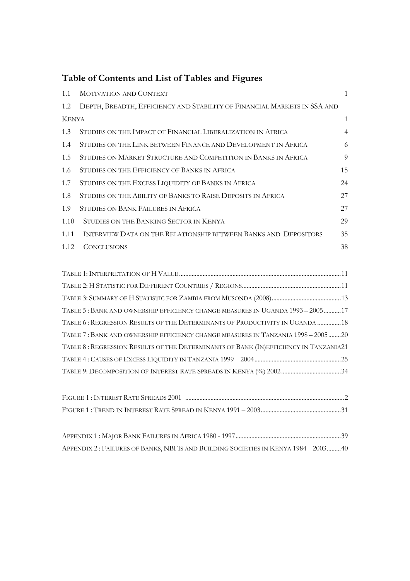# Table of Contents and List of Tables and Figures

| 1.1          | <b>MOTIVATION AND CONTEXT</b>                                                        | $\mathbf{1}$   |
|--------------|--------------------------------------------------------------------------------------|----------------|
| 1.2          | DEPTH, BREADTH, EFFICIENCY AND STABILITY OF FINANCIAL MARKETS IN SSA AND             |                |
| <b>KENYA</b> |                                                                                      | $\mathbf{1}$   |
| 1.3          | STUDIES ON THE IMPACT OF FINANCIAL LIBERALIZATION IN AFRICA                          | $\overline{4}$ |
| 1.4          | STUDIES ON THE LINK BETWEEN FINANCE AND DEVELOPMENT IN AFRICA                        | 6              |
| 1.5          | STUDIES ON MARKET STRUCTURE AND COMPETITION IN BANKS IN AFRICA                       | 9              |
| 1.6          | STUDIES ON THE EFFICIENCY OF BANKS IN AFRICA                                         | 15             |
| 1.7          | STUDIES ON THE EXCESS LIQUIDITY OF BANKS IN AFRICA                                   | 24             |
| 1.8          | STUDIES ON THE ABILITY OF BANKS TO RAISE DEPOSITS IN AFRICA                          | 27             |
| 1.9          | <b>STUDIES ON BANK FAILURES IN AFRICA</b>                                            | 27             |
| 1.10         | STUDIES ON THE BANKING SECTOR IN KENYA                                               | 29             |
| 1.11         | INTERVIEW DATA ON THE RELATIONSHIP BETWEEN BANKS AND DEPOSITORS                      | 35             |
| 1.12         | <b>CONCLUSIONS</b>                                                                   | 38             |
|              |                                                                                      |                |
|              |                                                                                      |                |
|              |                                                                                      |                |
|              |                                                                                      |                |
|              | TABLE 5: BANK AND OWNERSHIP EFFICIENCY CHANGE MEASURES IN UGANDA 1993 - 2005 17      |                |
|              | TABLE 6: REGRESSION RESULTS OF THE DETERMINANTS OF PRODUCTIVITY IN UGANDA  18        |                |
|              | TABLE 7: BANK AND OWNERSHIP EFFICIENCY CHANGE MEASURES IN TANZANIA 1998 - 2005 20    |                |
|              | TABLE 8: REGRESSION RESULTS OF THE DETERMINANTS OF BANK (IN)EFFICIENCY IN TANZANIA21 |                |
|              |                                                                                      |                |
|              |                                                                                      |                |
|              |                                                                                      |                |

| APPENDIX 2: FAILURES OF BANKS, NBFIS AND BUILDING SOCIETIES IN KENYA 1984 - 200340 |  |
|------------------------------------------------------------------------------------|--|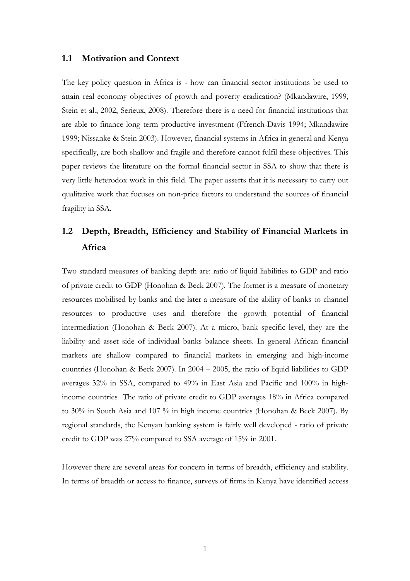### 1.1 Motivation and Context

The key policy question in Africa is - how can financial sector institutions be used to attain real economy objectives of growth and poverty eradication? (Mkandawire, 1999, Stein et al., 2002, Serieux, 2008). Therefore there is a need for financial institutions that are able to finance long term productive investment (Ffrench-Davis 1994; Mkandawire 1999; Nissanke & Stein 2003). However, financial systems in Africa in general and Kenya specifically, are both shallow and fragile and therefore cannot fulfil these objectives. This paper reviews the literature on the formal financial sector in SSA to show that there is very little heterodox work in this field. The paper asserts that it is necessary to carry out qualitative work that focuses on non-price factors to understand the sources of financial fragility in SSA.

# 1.2 Depth, Breadth, Efficiency and Stability of Financial Markets in Africa

Two standard measures of banking depth are: ratio of liquid liabilities to GDP and ratio of private credit to GDP (Honohan & Beck 2007). The former is a measure of monetary resources mobilised by banks and the later a measure of the ability of banks to channel resources to productive uses and therefore the growth potential of financial intermediation (Honohan & Beck 2007). At a micro, bank specific level, they are the liability and asset side of individual banks balance sheets. In general African financial markets are shallow compared to financial markets in emerging and high-income countries (Honohan & Beck 2007). In 2004 – 2005, the ratio of liquid liabilities to GDP averages 32% in SSA, compared to 49% in East Asia and Pacific and 100% in highincome countries The ratio of private credit to GDP averages 18% in Africa compared to 30% in South Asia and 107 % in high income countries (Honohan & Beck 2007). By regional standards, the Kenyan banking system is fairly well developed - ratio of private credit to GDP was 27% compared to SSA average of 15% in 2001.

However there are several areas for concern in terms of breadth, efficiency and stability. In terms of breadth or access to finance, surveys of firms in Kenya have identified access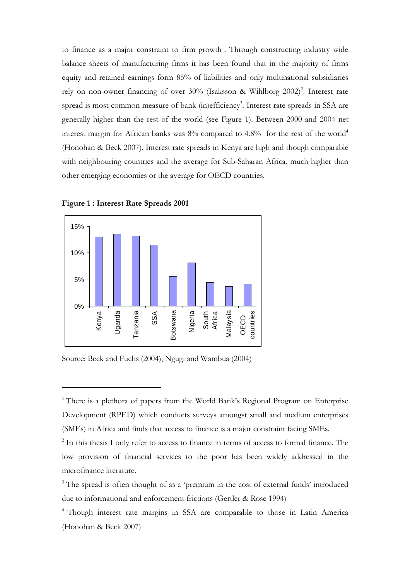to finance as a major constraint to firm growth<sup>1</sup>. Through constructing industry wide balance sheets of manufacturing firms it has been found that in the majority of firms equity and retained earnings form 85% of liabilities and only multinational subsidiaries rely on non-owner financing of over 30% (Isaksson & Wihlborg 2002)<sup>2</sup>. Interest rate spread is most common measure of bank (in)efficiency 3 . Interest rate spreads in SSA are generally higher than the rest of the world (see Figure 1). Between 2000 and 2004 net interest margin for African banks was  $8\%$  compared to  $4.8\%$  for the rest of the world<sup>4</sup> (Honohan & Beck 2007). Interest rate spreads in Kenya are high and though comparable with neighbouring countries and the average for Sub-Saharan Africa, much higher than other emerging economies or the average for OECD countries.





 $\overline{a}$ 

Source: Beck and Fuchs (2004), Ngugi and Wambua (2004)

<sup>1</sup> There is a plethora of papers from the World Bank's Regional Program on Enterprise Development (RPED) which conducts surveys amongst small and medium enterprises (SMEs) in Africa and finds that access to finance is a major constraint facing SMEs.

<sup>&</sup>lt;sup>2</sup> In this thesis I only refer to access to finance in terms of access to formal finance. The low provision of financial services to the poor has been widely addressed in the microfinance literature.

<sup>&</sup>lt;sup>3</sup> The spread is often thought of as a 'premium in the cost of external funds' introduced due to informational and enforcement frictions (Gertler & Rose 1994)

<sup>4</sup> Though interest rate margins in SSA are comparable to those in Latin America (Honohan & Beck 2007)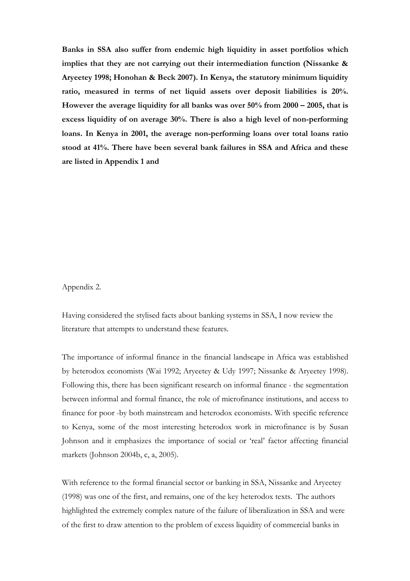Banks in SSA also suffer from endemic high liquidity in asset portfolios which implies that they are not carrying out their intermediation function (Nissanke & Aryeetey 1998; Honohan & Beck 2007). In Kenya, the statutory minimum liquidity ratio, measured in terms of net liquid assets over deposit liabilities is 20%. However the average liquidity for all banks was over 50% from 2000 – 2005, that is excess liquidity of on average 30%. There is also a high level of non-performing loans. In Kenya in 2001, the average non-performing loans over total loans ratio stood at 41%. There have been several bank failures in SSA and Africa and these are listed in Appendix 1 and

Appendix 2.

Having considered the stylised facts about banking systems in SSA, I now review the literature that attempts to understand these features.

The importance of informal finance in the financial landscape in Africa was established by heterodox economists (Wai 1992; Aryeetey & Udy 1997; Nissanke & Aryeetey 1998). Following this, there has been significant research on informal finance - the segmentation between informal and formal finance, the role of microfinance institutions, and access to finance for poor -by both mainstream and heterodox economists. With specific reference to Kenya, some of the most interesting heterodox work in microfinance is by Susan Johnson and it emphasizes the importance of social or 'real' factor affecting financial markets (Johnson 2004b, c, a, 2005).

With reference to the formal financial sector or banking in SSA, Nissanke and Aryeetey (1998) was one of the first, and remains, one of the key heterodox texts. The authors highlighted the extremely complex nature of the failure of liberalization in SSA and were of the first to draw attention to the problem of excess liquidity of commercial banks in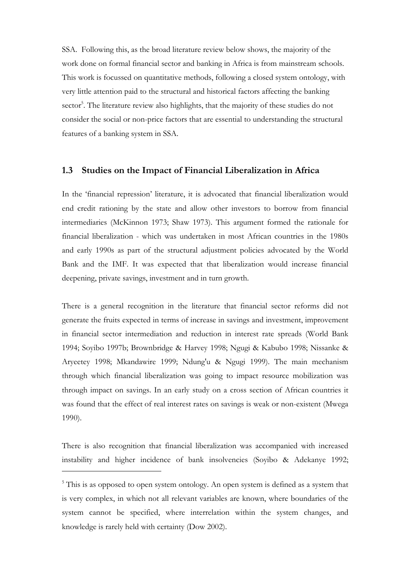SSA. Following this, as the broad literature review below shows, the majority of the work done on formal financial sector and banking in Africa is from mainstream schools. This work is focussed on quantitative methods, following a closed system ontology, with very little attention paid to the structural and historical factors affecting the banking sector<sup>5</sup>. The literature review also highlights, that the majority of these studies do not consider the social or non-price factors that are essential to understanding the structural features of a banking system in SSA.

#### 1.3 Studies on the Impact of Financial Liberalization in Africa

In the 'financial repression' literature, it is advocated that financial liberalization would end credit rationing by the state and allow other investors to borrow from financial intermediaries (McKinnon 1973; Shaw 1973). This argument formed the rationale for financial liberalization - which was undertaken in most African countries in the 1980s and early 1990s as part of the structural adjustment policies advocated by the World Bank and the IMF. It was expected that that liberalization would increase financial deepening, private savings, investment and in turn growth.

There is a general recognition in the literature that financial sector reforms did not generate the fruits expected in terms of increase in savings and investment, improvement in financial sector intermediation and reduction in interest rate spreads (World Bank 1994; Soyibo 1997b; Brownbridge & Harvey 1998; Ngugi & Kabubo 1998; Nissanke & Aryeetey 1998; Mkandawire 1999; Ndung'u & Ngugi 1999). The main mechanism through which financial liberalization was going to impact resource mobilization was through impact on savings. In an early study on a cross section of African countries it was found that the effect of real interest rates on savings is weak or non-existent (Mwega 1990).

There is also recognition that financial liberalization was accompanied with increased instability and higher incidence of bank insolvencies (Soyibo & Adekanye 1992;

<sup>&</sup>lt;sup>5</sup> This is as opposed to open system ontology. An open system is defined as a system that is very complex, in which not all relevant variables are known, where boundaries of the system cannot be specified, where interrelation within the system changes, and knowledge is rarely held with certainty (Dow 2002).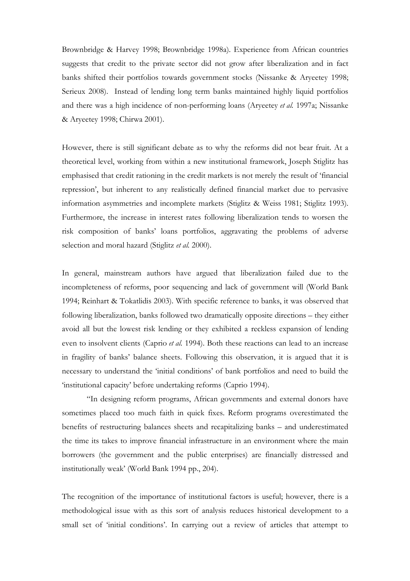Brownbridge & Harvey 1998; Brownbridge 1998a). Experience from African countries suggests that credit to the private sector did not grow after liberalization and in fact banks shifted their portfolios towards government stocks (Nissanke & Aryeetey 1998; Serieux 2008). Instead of lending long term banks maintained highly liquid portfolios and there was a high incidence of non-performing loans (Aryeetey et al. 1997a; Nissanke & Aryeetey 1998; Chirwa 2001).

However, there is still significant debate as to why the reforms did not bear fruit. At a theoretical level, working from within a new institutional framework, Joseph Stiglitz has emphasised that credit rationing in the credit markets is not merely the result of 'financial repression', but inherent to any realistically defined financial market due to pervasive information asymmetries and incomplete markets (Stiglitz & Weiss 1981; Stiglitz 1993). Furthermore, the increase in interest rates following liberalization tends to worsen the risk composition of banks' loans portfolios, aggravating the problems of adverse selection and moral hazard (Stiglitz et al. 2000).

In general, mainstream authors have argued that liberalization failed due to the incompleteness of reforms, poor sequencing and lack of government will (World Bank 1994; Reinhart & Tokatlidis 2003). With specific reference to banks, it was observed that following liberalization, banks followed two dramatically opposite directions – they either avoid all but the lowest risk lending or they exhibited a reckless expansion of lending even to insolvent clients (Caprio et al. 1994). Both these reactions can lead to an increase in fragility of banks' balance sheets. Following this observation, it is argued that it is necessary to understand the 'initial conditions' of bank portfolios and need to build the 'institutional capacity' before undertaking reforms (Caprio 1994).

"In designing reform programs, African governments and external donors have sometimes placed too much faith in quick fixes. Reform programs overestimated the benefits of restructuring balances sheets and recapitalizing banks – and underestimated the time its takes to improve financial infrastructure in an environment where the main borrowers (the government and the public enterprises) are financially distressed and institutionally weak' (World Bank 1994 pp., 204).

The recognition of the importance of institutional factors is useful; however, there is a methodological issue with as this sort of analysis reduces historical development to a small set of 'initial conditions'. In carrying out a review of articles that attempt to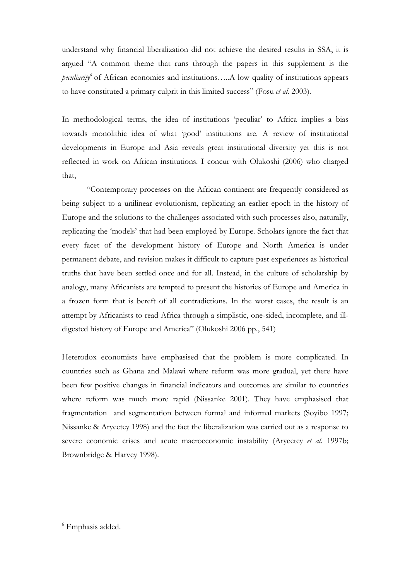understand why financial liberalization did not achieve the desired results in SSA, it is argued "A common theme that runs through the papers in this supplement is the peculiarity<sup>6</sup> of African economies and institutions.....A low quality of institutions appears to have constituted a primary culprit in this limited success" (Fosu et al. 2003).

In methodological terms, the idea of institutions 'peculiar' to Africa implies a bias towards monolithic idea of what 'good' institutions are. A review of institutional developments in Europe and Asia reveals great institutional diversity yet this is not reflected in work on African institutions. I concur with Olukoshi (2006) who charged that,

"Contemporary processes on the African continent are frequently considered as being subject to a unilinear evolutionism, replicating an earlier epoch in the history of Europe and the solutions to the challenges associated with such processes also, naturally, replicating the 'models' that had been employed by Europe. Scholars ignore the fact that every facet of the development history of Europe and North America is under permanent debate, and revision makes it difficult to capture past experiences as historical truths that have been settled once and for all. Instead, in the culture of scholarship by analogy, many Africanists are tempted to present the histories of Europe and America in a frozen form that is bereft of all contradictions. In the worst cases, the result is an attempt by Africanists to read Africa through a simplistic, one-sided, incomplete, and illdigested history of Europe and America" (Olukoshi 2006 pp., 541)

Heterodox economists have emphasised that the problem is more complicated. In countries such as Ghana and Malawi where reform was more gradual, yet there have been few positive changes in financial indicators and outcomes are similar to countries where reform was much more rapid (Nissanke 2001). They have emphasised that fragmentation and segmentation between formal and informal markets (Soyibo 1997; Nissanke & Aryeetey 1998) and the fact the liberalization was carried out as a response to severe economic crises and acute macroeconomic instability (Aryeetey et al. 1997b; Brownbridge & Harvey 1998).

<sup>6</sup> Emphasis added.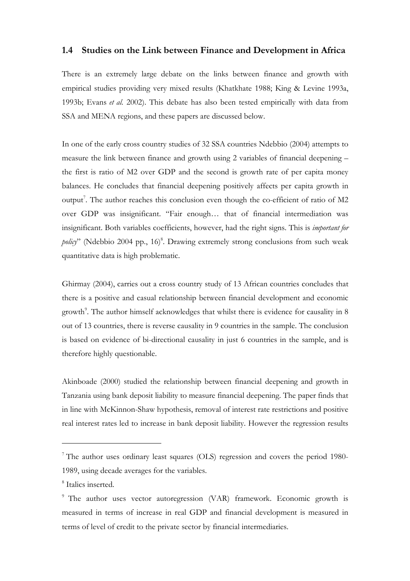### 1.4 Studies on the Link between Finance and Development in Africa

There is an extremely large debate on the links between finance and growth with empirical studies providing very mixed results (Khatkhate 1988; King & Levine 1993a, 1993b; Evans et al. 2002). This debate has also been tested empirically with data from SSA and MENA regions, and these papers are discussed below.

In one of the early cross country studies of 32 SSA countries Ndebbio (2004) attempts to measure the link between finance and growth using 2 variables of financial deepening – the first is ratio of M2 over GDP and the second is growth rate of per capita money balances. He concludes that financial deepening positively affects per capita growth in output<sup>7</sup>. The author reaches this conclusion even though the co-efficient of ratio of M2 over GDP was insignificant. "Fair enough… that of financial intermediation was insignificant. Both variables coefficients, however, had the right signs. This is important for policy" (Ndebbio 2004 pp., 16)<sup>8</sup>. Drawing extremely strong conclusions from such weak quantitative data is high problematic.

Ghirmay (2004), carries out a cross country study of 13 African countries concludes that there is a positive and casual relationship between financial development and economic growth<sup>9</sup>. The author himself acknowledges that whilst there is evidence for causality in 8 out of 13 countries, there is reverse causality in 9 countries in the sample. The conclusion is based on evidence of bi-directional causality in just 6 countries in the sample, and is therefore highly questionable.

Akinboade (2000) studied the relationship between financial deepening and growth in Tanzania using bank deposit liability to measure financial deepening. The paper finds that in line with McKinnon-Shaw hypothesis, removal of interest rate restrictions and positive real interest rates led to increase in bank deposit liability. However the regression results

<sup>&</sup>lt;sup>7</sup> The author uses ordinary least squares (OLS) regression and covers the period 1980-1989, using decade averages for the variables.

<sup>8</sup> Italics inserted.

<sup>&</sup>lt;sup>9</sup> The author uses vector autoregression (VAR) framework. Economic growth is measured in terms of increase in real GDP and financial development is measured in terms of level of credit to the private sector by financial intermediaries.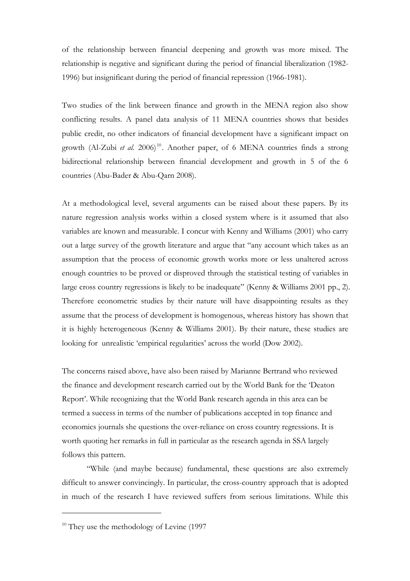of the relationship between financial deepening and growth was more mixed. The relationship is negative and significant during the period of financial liberalization (1982- 1996) but insignificant during the period of financial repression (1966-1981).

Two studies of the link between finance and growth in the MENA region also show conflicting results. A panel data analysis of 11 MENA countries shows that besides public credit, no other indicators of financial development have a significant impact on growth (Al-Zubi et al. 2006)<sup>10</sup>. Another paper, of 6 MENA countries finds a strong bidirectional relationship between financial development and growth in 5 of the 6 countries (Abu-Bader & Abu-Qarn 2008).

At a methodological level, several arguments can be raised about these papers. By its nature regression analysis works within a closed system where is it assumed that also variables are known and measurable. I concur with Kenny and Williams (2001) who carry out a large survey of the growth literature and argue that "any account which takes as an assumption that the process of economic growth works more or less unaltered across enough countries to be proved or disproved through the statistical testing of variables in large cross country regressions is likely to be inadequate" (Kenny & Williams 2001 pp., 2). Therefore econometric studies by their nature will have disappointing results as they assume that the process of development is homogenous, whereas history has shown that it is highly heterogeneous (Kenny & Williams 2001). By their nature, these studies are looking for unrealistic 'empirical regularities' across the world (Dow 2002).

The concerns raised above, have also been raised by Marianne Bertrand who reviewed the finance and development research carried out by the World Bank for the 'Deaton Report'. While recognizing that the World Bank research agenda in this area can be termed a success in terms of the number of publications accepted in top finance and economics journals she questions the over-reliance on cross country regressions. It is worth quoting her remarks in full in particular as the research agenda in SSA largely follows this pattern.

"While (and maybe because) fundamental, these questions are also extremely difficult to answer convincingly. In particular, the cross-country approach that is adopted in much of the research I have reviewed suffers from serious limitations. While this

 $10$  They use the methodology of Levine (1997)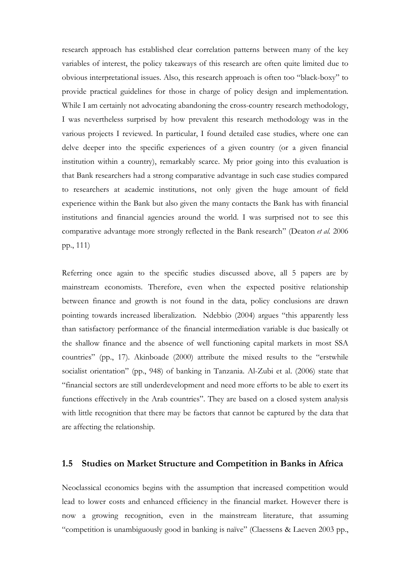research approach has established clear correlation patterns between many of the key variables of interest, the policy takeaways of this research are often quite limited due to obvious interpretational issues. Also, this research approach is often too "black-boxy" to provide practical guidelines for those in charge of policy design and implementation. While I am certainly not advocating abandoning the cross-country research methodology, I was nevertheless surprised by how prevalent this research methodology was in the various projects I reviewed. In particular, I found detailed case studies, where one can delve deeper into the specific experiences of a given country (or a given financial institution within a country), remarkably scarce. My prior going into this evaluation is that Bank researchers had a strong comparative advantage in such case studies compared to researchers at academic institutions, not only given the huge amount of field experience within the Bank but also given the many contacts the Bank has with financial institutions and financial agencies around the world. I was surprised not to see this comparative advantage more strongly reflected in the Bank research" (Deaton et al. 2006 pp., 111)

Referring once again to the specific studies discussed above, all 5 papers are by mainstream economists. Therefore, even when the expected positive relationship between finance and growth is not found in the data, policy conclusions are drawn pointing towards increased liberalization. Ndebbio (2004) argues "this apparently less than satisfactory performance of the financial intermediation variable is due basically ot the shallow finance and the absence of well functioning capital markets in most SSA countries" (pp., 17). Akinboade (2000) attribute the mixed results to the "erstwhile socialist orientation" (pp., 948) of banking in Tanzania. Al-Zubi et al. (2006) state that "financial sectors are still underdevelopment and need more efforts to be able to exert its functions effectively in the Arab countries". They are based on a closed system analysis with little recognition that there may be factors that cannot be captured by the data that are affecting the relationship.

### 1.5 Studies on Market Structure and Competition in Banks in Africa

Neoclassical economics begins with the assumption that increased competition would lead to lower costs and enhanced efficiency in the financial market. However there is now a growing recognition, even in the mainstream literature, that assuming "competition is unambiguously good in banking is naïve" (Claessens & Laeven 2003 pp.,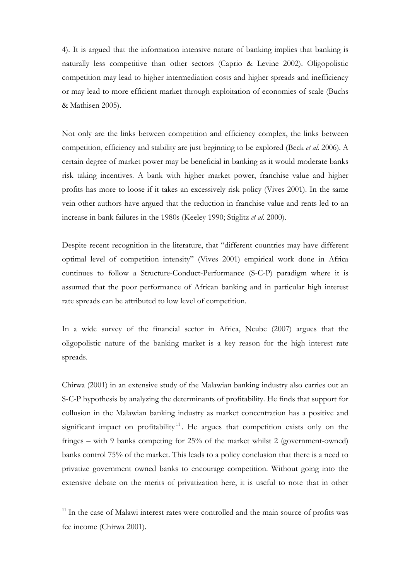4). It is argued that the information intensive nature of banking implies that banking is naturally less competitive than other sectors (Caprio & Levine 2002). Oligopolistic competition may lead to higher intermediation costs and higher spreads and inefficiency or may lead to more efficient market through exploitation of economies of scale (Buchs & Mathisen 2005).

Not only are the links between competition and efficiency complex, the links between competition, efficiency and stability are just beginning to be explored (Beck et al. 2006). A certain degree of market power may be beneficial in banking as it would moderate banks risk taking incentives. A bank with higher market power, franchise value and higher profits has more to loose if it takes an excessively risk policy (Vives 2001). In the same vein other authors have argued that the reduction in franchise value and rents led to an increase in bank failures in the 1980s (Keeley 1990; Stiglitz et al. 2000).

Despite recent recognition in the literature, that "different countries may have different optimal level of competition intensity" (Vives 2001) empirical work done in Africa continues to follow a Structure-Conduct-Performance (S-C-P) paradigm where it is assumed that the poor performance of African banking and in particular high interest rate spreads can be attributed to low level of competition.

In a wide survey of the financial sector in Africa, Ncube (2007) argues that the oligopolistic nature of the banking market is a key reason for the high interest rate spreads.

Chirwa (2001) in an extensive study of the Malawian banking industry also carries out an S-C-P hypothesis by analyzing the determinants of profitability. He finds that support for collusion in the Malawian banking industry as market concentration has a positive and significant impact on profitability<sup>11</sup>. He argues that competition exists only on the fringes – with 9 banks competing for 25% of the market whilst 2 (government-owned) banks control 75% of the market. This leads to a policy conclusion that there is a need to privatize government owned banks to encourage competition. Without going into the extensive debate on the merits of privatization here, it is useful to note that in other

<sup>&</sup>lt;sup>11</sup> In the case of Malawi interest rates were controlled and the main source of profits was fee income (Chirwa 2001).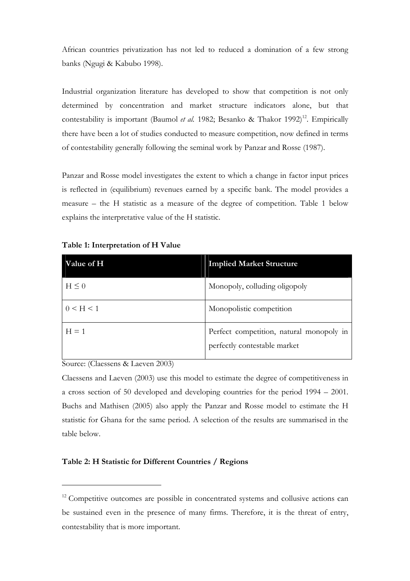African countries privatization has not led to reduced a domination of a few strong banks (Ngugi & Kabubo 1998).

Industrial organization literature has developed to show that competition is not only determined by concentration and market structure indicators alone, but that contestability is important (Baumol et al. 1982; Besanko & Thakor 1992)<sup>12</sup>. Empirically there have been a lot of studies conducted to measure competition, now defined in terms of contestability generally following the seminal work by Panzar and Rosse (1987).

Panzar and Rosse model investigates the extent to which a change in factor input prices is reflected in (equilibrium) revenues earned by a specific bank. The model provides a measure – the H statistic as a measure of the degree of competition. Table 1 below explains the interpretative value of the H statistic.

| <b>Value of H</b> | <b>Implied Market Structure</b>                                          |
|-------------------|--------------------------------------------------------------------------|
| $H \leq 0$        | Monopoly, colluding oligopoly                                            |
| 0 < H < 1         | Monopolistic competition                                                 |
| $H = 1$           | Perfect competition, natural monopoly in<br>perfectly contestable market |

Table 1: Interpretation of H Value

Source: (Claessens & Laeven 2003)

 $\overline{a}$ 

Claessens and Laeven (2003) use this model to estimate the degree of competitiveness in a cross section of 50 developed and developing countries for the period 1994 – 2001. Buchs and Mathisen (2005) also apply the Panzar and Rosse model to estimate the H statistic for Ghana for the same period. A selection of the results are summarised in the table below.

#### Table 2: H Statistic for Different Countries / Regions

<sup>&</sup>lt;sup>12</sup> Competitive outcomes are possible in concentrated systems and collusive actions can be sustained even in the presence of many firms. Therefore, it is the threat of entry, contestability that is more important.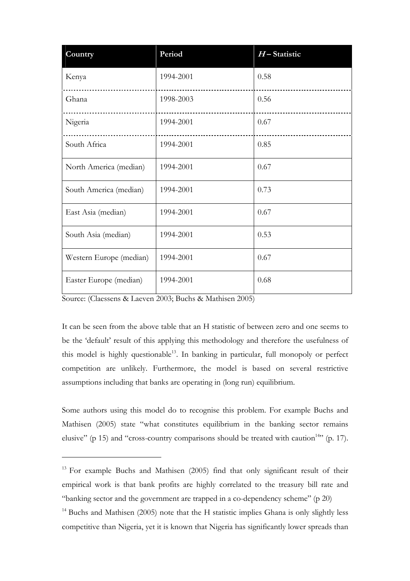| Country                 | Period    | $H$ – Statistic |
|-------------------------|-----------|-----------------|
| Kenya                   | 1994-2001 | 0.58            |
| Ghana                   | 1998-2003 | 0.56            |
| Nigeria                 | 1994-2001 | 0.67            |
| South Africa            | 1994-2001 | 0.85            |
| North America (median)  | 1994-2001 | 0.67            |
| South America (median)  | 1994-2001 | 0.73            |
| East Asia (median)      | 1994-2001 | 0.67            |
| South Asia (median)     | 1994-2001 | 0.53            |
| Western Europe (median) | 1994-2001 | 0.67            |
| Easter Europe (median)  | 1994-2001 | 0.68            |

Source: (Claessens & Laeven 2003; Buchs & Mathisen 2005)

 $\overline{a}$ 

It can be seen from the above table that an H statistic of between zero and one seems to be the 'default' result of this applying this methodology and therefore the usefulness of this model is highly questionable<sup>13</sup>. In banking in particular, full monopoly or perfect competition are unlikely. Furthermore, the model is based on several restrictive assumptions including that banks are operating in (long run) equilibrium.

Some authors using this model do to recognise this problem. For example Buchs and Mathisen (2005) state "what constitutes equilibrium in the banking sector remains elusive" (p 15) and "cross-country comparisons should be treated with caution<sup>14</sup>" (p. 17).

<sup>&</sup>lt;sup>13</sup> For example Buchs and Mathisen (2005) find that only significant result of their empirical work is that bank profits are highly correlated to the treasury bill rate and "banking sector and the government are trapped in a co-dependency scheme" (p 20)

<sup>&</sup>lt;sup>14</sup> Buchs and Mathisen (2005) note that the H statistic implies Ghana is only slightly less competitive than Nigeria, yet it is known that Nigeria has significantly lower spreads than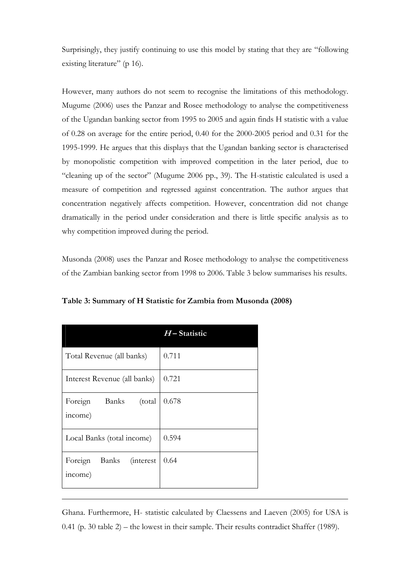Surprisingly, they justify continuing to use this model by stating that they are "following existing literature" (p 16).

However, many authors do not seem to recognise the limitations of this methodology. Mugume (2006) uses the Panzar and Rosee methodology to analyse the competitiveness of the Ugandan banking sector from 1995 to 2005 and again finds H statistic with a value of 0.28 on average for the entire period, 0.40 for the 2000-2005 period and 0.31 for the 1995-1999. He argues that this displays that the Ugandan banking sector is characterised by monopolistic competition with improved competition in the later period, due to "cleaning up of the sector" (Mugume 2006 pp., 39). The H-statistic calculated is used a measure of competition and regressed against concentration. The author argues that concentration negatively affects competition. However, concentration did not change dramatically in the period under consideration and there is little specific analysis as to why competition improved during the period.

Musonda (2008) uses the Panzar and Rosee methodology to analyse the competitiveness of the Zambian banking sector from 1998 to 2006. Table 3 below summarises his results.

|                                                  | $H$ – Statistic |
|--------------------------------------------------|-----------------|
| Total Revenue (all banks)                        | 0.711           |
| Interest Revenue (all banks)                     | 0.721           |
| Banks<br>Foreign<br>(total)<br>income)           | 0.678           |
| Local Banks (total income)                       | 0.594           |
| Foreign<br>Banks<br><i>(interest)</i><br>income) | 0.64            |

 $\overline{a}$ 

Table 3: Summary of H Statistic for Zambia from Musonda (2008)

Ghana. Furthermore, H- statistic calculated by Claessens and Laeven (2005) for USA is 0.41 (p. 30 table 2) – the lowest in their sample. Their results contradict Shaffer (1989).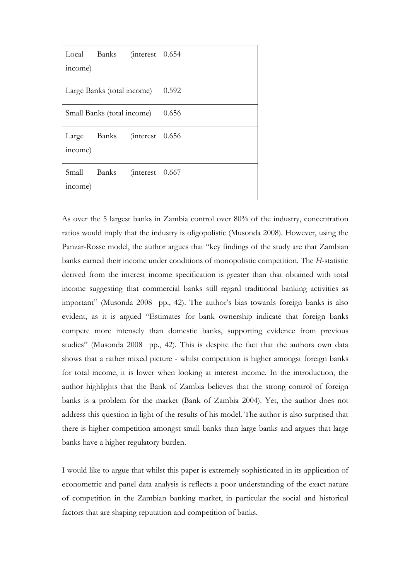|                  | Local Banks (interest      |                   | 0.654 |
|------------------|----------------------------|-------------------|-------|
| income)          |                            |                   |       |
|                  | Large Banks (total income) |                   | 0.592 |
|                  | Small Banks (total income) |                   | 0.656 |
| income)          | Large Banks (interest      |                   | 0.656 |
| Small<br>income) | Banks                      | <i>(interest)</i> | 0.667 |

As over the 5 largest banks in Zambia control over 80% of the industry, concentration ratios would imply that the industry is oligopolistic (Musonda 2008). However, using the Panzar-Rosse model, the author argues that "key findings of the study are that Zambian banks earned their income under conditions of monopolistic competition. The H-statistic derived from the interest income specification is greater than that obtained with total income suggesting that commercial banks still regard traditional banking activities as important" (Musonda 2008 pp., 42). The author's bias towards foreign banks is also evident, as it is argued "Estimates for bank ownership indicate that foreign banks compete more intensely than domestic banks, supporting evidence from previous studies" (Musonda 2008 pp., 42). This is despite the fact that the authors own data shows that a rather mixed picture - whilst competition is higher amongst foreign banks for total income, it is lower when looking at interest income. In the introduction, the author highlights that the Bank of Zambia believes that the strong control of foreign banks is a problem for the market (Bank of Zambia 2004). Yet, the author does not address this question in light of the results of his model. The author is also surprised that there is higher competition amongst small banks than large banks and argues that large banks have a higher regulatory burden.

I would like to argue that whilst this paper is extremely sophisticated in its application of econometric and panel data analysis is reflects a poor understanding of the exact nature of competition in the Zambian banking market, in particular the social and historical factors that are shaping reputation and competition of banks.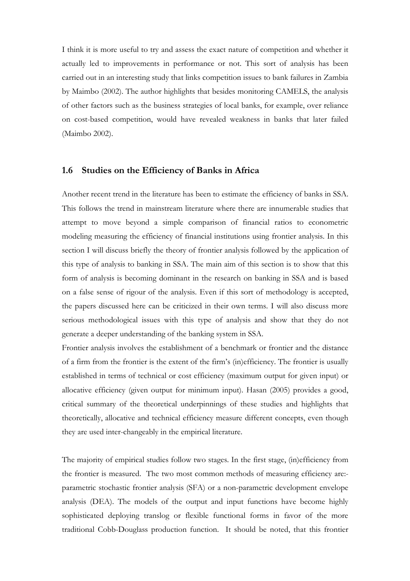I think it is more useful to try and assess the exact nature of competition and whether it actually led to improvements in performance or not. This sort of analysis has been carried out in an interesting study that links competition issues to bank failures in Zambia by Maimbo (2002). The author highlights that besides monitoring CAMELS, the analysis of other factors such as the business strategies of local banks, for example, over reliance on cost-based competition, would have revealed weakness in banks that later failed (Maimbo 2002).

#### 1.6 Studies on the Efficiency of Banks in Africa

Another recent trend in the literature has been to estimate the efficiency of banks in SSA. This follows the trend in mainstream literature where there are innumerable studies that attempt to move beyond a simple comparison of financial ratios to econometric modeling measuring the efficiency of financial institutions using frontier analysis. In this section I will discuss briefly the theory of frontier analysis followed by the application of this type of analysis to banking in SSA. The main aim of this section is to show that this form of analysis is becoming dominant in the research on banking in SSA and is based on a false sense of rigour of the analysis. Even if this sort of methodology is accepted, the papers discussed here can be criticized in their own terms. I will also discuss more serious methodological issues with this type of analysis and show that they do not generate a deeper understanding of the banking system in SSA.

Frontier analysis involves the establishment of a benchmark or frontier and the distance of a firm from the frontier is the extent of the firm's (in)efficiency. The frontier is usually established in terms of technical or cost efficiency (maximum output for given input) or allocative efficiency (given output for minimum input). Hasan (2005) provides a good, critical summary of the theoretical underpinnings of these studies and highlights that theoretically, allocative and technical efficiency measure different concepts, even though they are used inter-changeably in the empirical literature.

The majority of empirical studies follow two stages. In the first stage, (in)efficiency from the frontier is measured. The two most common methods of measuring efficiency are: parametric stochastic frontier analysis (SFA) or a non-parametric development envelope analysis (DEA). The models of the output and input functions have become highly sophisticated deploying translog or flexible functional forms in favor of the more traditional Cobb-Douglass production function. It should be noted, that this frontier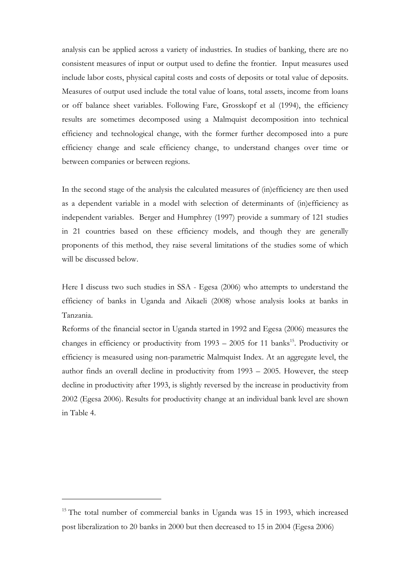analysis can be applied across a variety of industries. In studies of banking, there are no consistent measures of input or output used to define the frontier. Input measures used include labor costs, physical capital costs and costs of deposits or total value of deposits. Measures of output used include the total value of loans, total assets, income from loans or off balance sheet variables. Following Fare, Grosskopf et al (1994), the efficiency results are sometimes decomposed using a Malmquist decomposition into technical efficiency and technological change, with the former further decomposed into a pure efficiency change and scale efficiency change, to understand changes over time or between companies or between regions.

In the second stage of the analysis the calculated measures of (in)efficiency are then used as a dependent variable in a model with selection of determinants of (in)efficiency as independent variables. Berger and Humphrey (1997) provide a summary of 121 studies in 21 countries based on these efficiency models, and though they are generally proponents of this method, they raise several limitations of the studies some of which will be discussed below.

Here I discuss two such studies in SSA - Egesa (2006) who attempts to understand the efficiency of banks in Uganda and Aikaeli (2008) whose analysis looks at banks in Tanzania.

Reforms of the financial sector in Uganda started in 1992 and Egesa (2006) measures the changes in efficiency or productivity from  $1993 - 2005$  for 11 banks<sup>15</sup>. Productivity or efficiency is measured using non-parametric Malmquist Index. At an aggregate level, the author finds an overall decline in productivity from 1993 – 2005. However, the steep decline in productivity after 1993, is slightly reversed by the increase in productivity from 2002 (Egesa 2006). Results for productivity change at an individual bank level are shown in Table 4.

<sup>&</sup>lt;sup>15</sup> The total number of commercial banks in Uganda was 15 in 1993, which increased post liberalization to 20 banks in 2000 but then decreased to 15 in 2004 (Egesa 2006)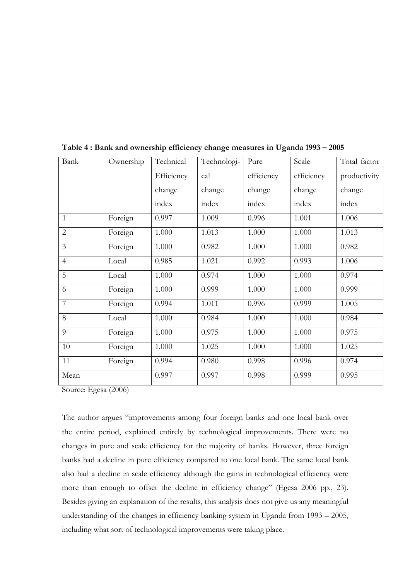| Bank           | Ownership | Technical  | Technologi- | Pure       | Scale      | Total factor |
|----------------|-----------|------------|-------------|------------|------------|--------------|
|                |           | Efficiency | cal         | efficiency | efficiency | productivity |
|                |           | change     | change      | change     | change     | change       |
|                |           | index      | index       | index      | index      | index        |
| $\mathbf{1}$   | Foreign   | 0.997      | 1.009       | 0.996      | 1.001      | 1.006        |
| $\overline{2}$ | Foreign   | 1.000      | 1.013       | 1.000      | 1.000      | 1.013        |
| $\overline{3}$ | Foreign   | 1.000      | 0.982       | 1.000      | 1.000      | 0.982        |
| $\overline{4}$ | Local     | 0.985      | 1.021       | 0.992      | 0.993      | 1.006        |
| 5              | Local     | 1.000      | 0.974       | 1.000      | 1.000      | 0.974        |
| 6              | Foreign   | 1.000      | 0.999       | 1.000      | 1.000      | 0.999        |
| $\overline{7}$ | Foreign   | 0.994      | 1.011       | 0.996      | 0.999      | 1.005        |
| 8              | Local     | 1.000      | 0.984       | 1.000      | 1.000      | 0.984        |
| 9              | Foreign   | 1.000      | 0.975       | 1.000      | 1.000      | 0.975        |
| 10             | Foreign   | 1.000      | 1.025       | 1.000      | 1.000      | 1.025        |
| 11             | Foreign   | 0.994      | 0.980       | 0.998      | 0.996      | 0.974        |
| Mean           |           | 0.997      | 0.997       | 0.998      | 0.999      | 0.995        |

Table 4 : Bank and ownership efficiency change measures in Uganda 1993 – 2005

Source: Egesa (2006)

The author argues "improvements among four foreign banks and one local bank over the entire period, explained entirely by technological improvements. There were no changes in pure and scale efficiency for the majority of banks. However, three foreign banks had a decline in pure efficiency compared to one local bank. The same local bank also had a decline in scale efficiency although the gains in technological efficiency were more than enough to offset the decline in efficiency change" (Egesa 2006 pp., 23). Besides giving an explanation of the results, this analysis does not give us any meaningful understanding of the changes in efficiency banking system in Uganda from 1993 – 2005, including what sort of technological improvements were taking place.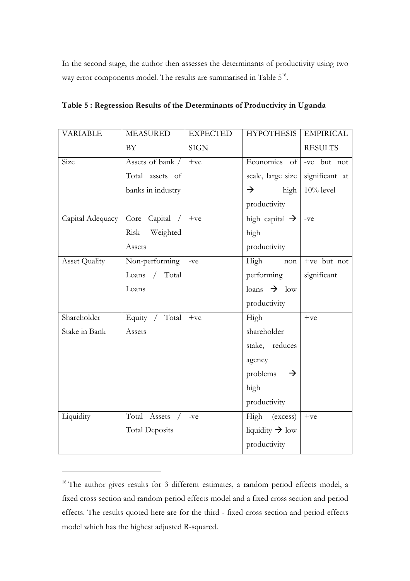In the second stage, the author then assesses the determinants of productivity using two way error components model. The results are summarised in Table 5<sup>16</sup>.

| <b>VARIABLE</b>      | <b>MEASURED</b>              | <b>EXPECTED</b> | <b>HYPOTHESIS</b>           | <b>EMPIRICAL</b> |
|----------------------|------------------------------|-----------------|-----------------------------|------------------|
|                      | <b>BY</b>                    | <b>SIGN</b>     |                             | <b>RESULTS</b>   |
| Size                 | Assets of bank /             | $+ve$           | Economies of                | -ve but not      |
|                      | Total assets of              |                 | scale, large size           | significant at   |
|                      | banks in industry            |                 | $\rightarrow$<br>high       | $10\%$ level     |
|                      |                              |                 | productivity                |                  |
| Capital Adequacy     | Core<br>Capital /            | $+ve$           | high capital $\rightarrow$  | -ve              |
|                      | Weighted<br>Risk             |                 | high                        |                  |
|                      | Assets                       |                 | productivity                |                  |
| <b>Asset Quality</b> | Non-performing               | -ve             | High<br>non                 | +ve but not      |
|                      | Total<br>Loans<br>$\sqrt{2}$ |                 | performing                  | significant      |
|                      | Loans                        |                 | $\lambda$ low               |                  |
|                      |                              |                 | productivity                |                  |
| Shareholder          | Equity /<br>Total            | $+ve$           | High                        | $+ve$            |
| Stake in Bank        | Assets                       |                 | shareholder                 |                  |
|                      |                              |                 | stake, reduces              |                  |
|                      |                              |                 | agency                      |                  |
|                      |                              |                 | problems<br>$\rightarrow$   |                  |
|                      |                              |                 | high                        |                  |
|                      |                              |                 | productivity                |                  |
| Liquidity            | Total Assets                 | -ve             | High (excess)               | $+ve$            |
|                      | <b>Total Deposits</b>        |                 | liquidity $\rightarrow$ low |                  |
|                      |                              |                 | productivity                |                  |

| Table 5 : Regression Results of the Determinants of Productivity in Uganda |  |  |
|----------------------------------------------------------------------------|--|--|
|                                                                            |  |  |

<sup>&</sup>lt;sup>16</sup> The author gives results for 3 different estimates, a random period effects model, a fixed cross section and random period effects model and a fixed cross section and period effects. The results quoted here are for the third - fixed cross section and period effects model which has the highest adjusted R-squared.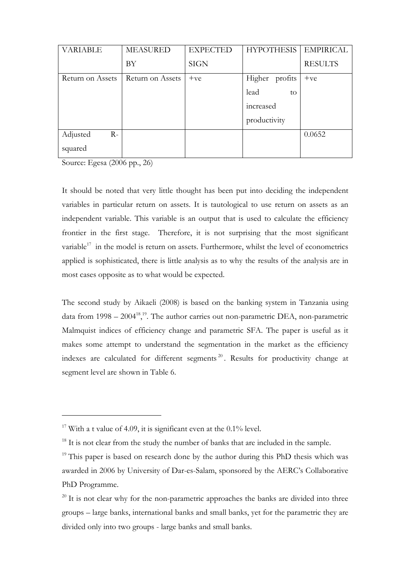| <b>VARIABLE</b>  | <b>MEASURED</b>  | <b>EXPECTED</b> | <b>HYPOTHESIS</b> | <b>EMPIRICAL</b> |
|------------------|------------------|-----------------|-------------------|------------------|
|                  | BY               | <b>SIGN</b>     |                   | <b>RESULTS</b>   |
| Return on Assets | Return on Assets | $+ve$           | Higher profits    | $+ve$            |
|                  |                  |                 | lead<br>to        |                  |
|                  |                  |                 | increased         |                  |
|                  |                  |                 | productivity      |                  |
| Adjusted<br>$R-$ |                  |                 |                   | 0.0652           |
| squared          |                  |                 |                   |                  |

Source: Egesa (2006 pp., 26)

 $\overline{a}$ 

It should be noted that very little thought has been put into deciding the independent variables in particular return on assets. It is tautological to use return on assets as an independent variable. This variable is an output that is used to calculate the efficiency frontier in the first stage. Therefore, it is not surprising that the most significant variable $17$  in the model is return on assets. Furthermore, whilst the level of econometrics applied is sophisticated, there is little analysis as to why the results of the analysis are in most cases opposite as to what would be expected.

The second study by Aikaeli (2008) is based on the banking system in Tanzania using data from  $1998 - 2004^{18}$ ,<sup>19</sup>. The author carries out non-parametric DEA, non-parametric Malmquist indices of efficiency change and parametric SFA. The paper is useful as it makes some attempt to understand the segmentation in the market as the efficiency indexes are calculated for different segments<sup>20</sup>. Results for productivity change at segment level are shown in Table 6.

<sup>&</sup>lt;sup>17</sup> With a t value of 4.09, it is significant even at the  $0.1\%$  level.

<sup>&</sup>lt;sup>18</sup> It is not clear from the study the number of banks that are included in the sample.

<sup>&</sup>lt;sup>19</sup> This paper is based on research done by the author during this PhD thesis which was awarded in 2006 by University of Dar-es-Salam, sponsored by the AERC's Collaborative PhD Programme.

 $20$  It is not clear why for the non-parametric approaches the banks are divided into three groups – large banks, international banks and small banks, yet for the parametric they are divided only into two groups - large banks and small banks.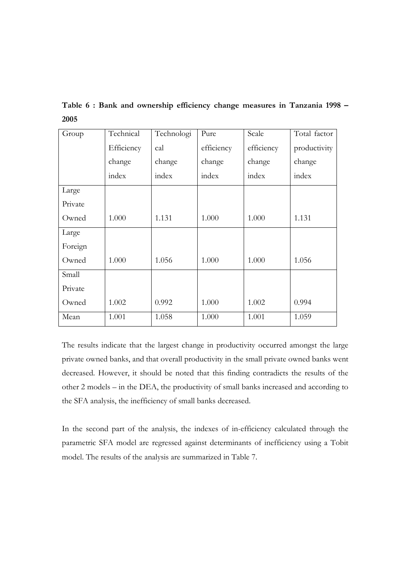Table 6 : Bank and ownership efficiency change measures in Tanzania 1998 – 2005

| Group   | Technical  | Technologi | Pure       | Scale      | Total factor |
|---------|------------|------------|------------|------------|--------------|
|         | Efficiency | cal        | efficiency | efficiency | productivity |
|         | change     | change     | change     | change     | change       |
|         | index      | index      | index      | index      | index        |
| Large   |            |            |            |            |              |
| Private |            |            |            |            |              |
| Owned   | 1.000      | 1.131      | 1.000      | 1.000      | 1.131        |
| Large   |            |            |            |            |              |
| Foreign |            |            |            |            |              |
| Owned   | 1.000      | 1.056      | 1.000      | 1.000      | 1.056        |
| Small   |            |            |            |            |              |
| Private |            |            |            |            |              |
| Owned   | 1.002      | 0.992      | 1.000      | 1.002      | 0.994        |
| Mean    | 1.001      | 1.058      | 1.000      | 1.001      | 1.059        |

The results indicate that the largest change in productivity occurred amongst the large private owned banks, and that overall productivity in the small private owned banks went decreased. However, it should be noted that this finding contradicts the results of the other 2 models – in the DEA, the productivity of small banks increased and according to the SFA analysis, the inefficiency of small banks decreased.

In the second part of the analysis, the indexes of in-efficiency calculated through the parametric SFA model are regressed against determinants of inefficiency using a Tobit model. The results of the analysis are summarized in Table 7.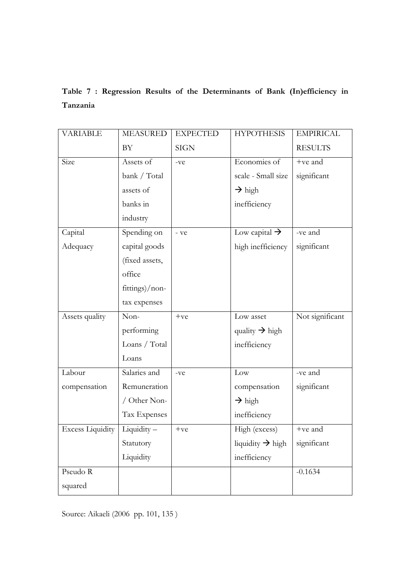# Table 7 : Regression Results of the Determinants of Bank (In)efficiency in Tanzania

| <b>VARIABLE</b>         | <b>MEASURED</b> | <b>EXPECTED</b> | <b>HYPOTHESIS</b>            | <b>EMPIRICAL</b> |
|-------------------------|-----------------|-----------------|------------------------------|------------------|
|                         | BY              | <b>SIGN</b>     |                              | <b>RESULTS</b>   |
| Size                    | Assets of       | $-ve$           | Economies of                 | +ve and          |
|                         | bank / Total    |                 | scale - Small size           | significant      |
|                         | assets of       |                 | $\rightarrow$ high           |                  |
|                         | banks in        |                 | inefficiency                 |                  |
|                         | industry        |                 |                              |                  |
| Capital                 | Spending on     | - ve            | Low capital $\rightarrow$    | -ve and          |
| Adequacy                | capital goods   |                 | high inefficiency            | significant      |
|                         | (fixed assets,  |                 |                              |                  |
|                         | office          |                 |                              |                  |
|                         | fittings)/non-  |                 |                              |                  |
|                         | tax expenses    |                 |                              |                  |
|                         |                 |                 |                              |                  |
| Assets quality          | Non-            | $+ve$           | Low asset                    | Not significant  |
|                         | performing      |                 | quality $\rightarrow$ high   |                  |
|                         | Loans / Total   |                 | inefficiency                 |                  |
|                         | Loans           |                 |                              |                  |
| Labour                  | Salaries and    | -ve             | Low                          | -ve and          |
| compensation            | Remuneration    |                 | compensation                 | significant      |
|                         | / Other Non-    |                 | $\rightarrow$ high           |                  |
|                         | Tax Expenses    |                 | inefficiency                 |                  |
| <b>Excess Liquidity</b> | Liquidity-      | $+ve$           | High (excess)                | $+ve$ and        |
|                         | Statutory       |                 | liquidity $\rightarrow$ high | significant      |
|                         | Liquidity       |                 | inefficiency                 |                  |
| Pseudo R                |                 |                 |                              | $-0.1634$        |

Source: Aikaeli (2006 pp. 101, 135 )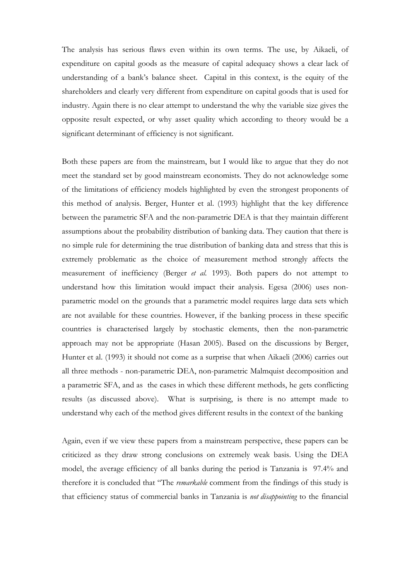The analysis has serious flaws even within its own terms. The use, by Aikaeli, of expenditure on capital goods as the measure of capital adequacy shows a clear lack of understanding of a bank's balance sheet. Capital in this context, is the equity of the shareholders and clearly very different from expenditure on capital goods that is used for industry. Again there is no clear attempt to understand the why the variable size gives the opposite result expected, or why asset quality which according to theory would be a significant determinant of efficiency is not significant.

Both these papers are from the mainstream, but I would like to argue that they do not meet the standard set by good mainstream economists. They do not acknowledge some of the limitations of efficiency models highlighted by even the strongest proponents of this method of analysis. Berger, Hunter et al. (1993) highlight that the key difference between the parametric SFA and the non-parametric DEA is that they maintain different assumptions about the probability distribution of banking data. They caution that there is no simple rule for determining the true distribution of banking data and stress that this is extremely problematic as the choice of measurement method strongly affects the measurement of inefficiency (Berger et al. 1993). Both papers do not attempt to understand how this limitation would impact their analysis. Egesa (2006) uses nonparametric model on the grounds that a parametric model requires large data sets which are not available for these countries. However, if the banking process in these specific countries is characterised largely by stochastic elements, then the non-parametric approach may not be appropriate (Hasan 2005). Based on the discussions by Berger, Hunter et al. (1993) it should not come as a surprise that when Aikaeli (2006) carries out all three methods - non-parametric DEA, non-parametric Malmquist decomposition and a parametric SFA, and as the cases in which these different methods, he gets conflicting results (as discussed above). What is surprising, is there is no attempt made to understand why each of the method gives different results in the context of the banking

Again, even if we view these papers from a mainstream perspective, these papers can be criticized as they draw strong conclusions on extremely weak basis. Using the DEA model, the average efficiency of all banks during the period is Tanzania is 97.4% and therefore it is concluded that "The remarkable comment from the findings of this study is that efficiency status of commercial banks in Tanzania is not disappointing to the financial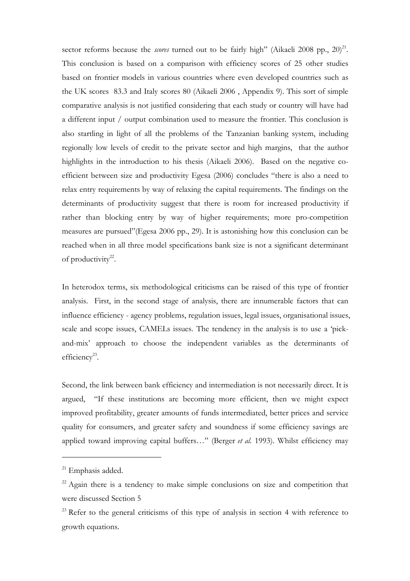sector reforms because the *scores* turned out to be fairly high" (Aikaeli 2008 pp.,  $20)^{21}$ . This conclusion is based on a comparison with efficiency scores of 25 other studies based on frontier models in various countries where even developed countries such as the UK scores 83.3 and Italy scores 80 (Aikaeli 2006 , Appendix 9). This sort of simple comparative analysis is not justified considering that each study or country will have had a different input / output combination used to measure the frontier. This conclusion is also startling in light of all the problems of the Tanzanian banking system, including regionally low levels of credit to the private sector and high margins, that the author highlights in the introduction to his thesis (Aikaeli 2006). Based on the negative coefficient between size and productivity Egesa (2006) concludes "there is also a need to relax entry requirements by way of relaxing the capital requirements. The findings on the determinants of productivity suggest that there is room for increased productivity if rather than blocking entry by way of higher requirements; more pro-competition measures are pursued"(Egesa 2006 pp., 29). It is astonishing how this conclusion can be reached when in all three model specifications bank size is not a significant determinant of productivity $22$ .

In heterodox terms, six methodological criticisms can be raised of this type of frontier analysis. First, in the second stage of analysis, there are innumerable factors that can influence efficiency - agency problems, regulation issues, legal issues, organisational issues, scale and scope issues, CAMELs issues. The tendency in the analysis is to use a 'pickand-mix' approach to choose the independent variables as the determinants of efficiency<sup>23</sup>.

Second, the link between bank efficiency and intermediation is not necessarily direct. It is argued, "If these institutions are becoming more efficient, then we might expect improved profitability, greater amounts of funds intermediated, better prices and service quality for consumers, and greater safety and soundness if some efficiency savings are applied toward improving capital buffers..." (Berger et al. 1993). Whilst efficiency may

 $21$  Emphasis added.

 $22$  Again there is a tendency to make simple conclusions on size and competition that were discussed Section 5

 $23$  Refer to the general criticisms of this type of analysis in section 4 with reference to growth equations.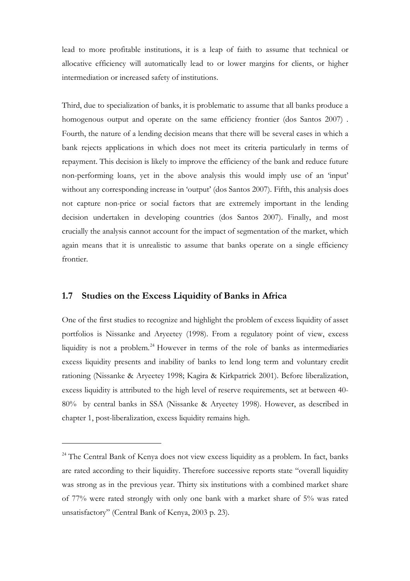lead to more profitable institutions, it is a leap of faith to assume that technical or allocative efficiency will automatically lead to or lower margins for clients, or higher intermediation or increased safety of institutions.

Third, due to specialization of banks, it is problematic to assume that all banks produce a homogenous output and operate on the same efficiency frontier (dos Santos 2007). Fourth, the nature of a lending decision means that there will be several cases in which a bank rejects applications in which does not meet its criteria particularly in terms of repayment. This decision is likely to improve the efficiency of the bank and reduce future non-performing loans, yet in the above analysis this would imply use of an 'input' without any corresponding increase in 'output' (dos Santos 2007). Fifth, this analysis does not capture non-price or social factors that are extremely important in the lending decision undertaken in developing countries (dos Santos 2007). Finally, and most crucially the analysis cannot account for the impact of segmentation of the market, which again means that it is unrealistic to assume that banks operate on a single efficiency frontier.

### 1.7 Studies on the Excess Liquidity of Banks in Africa

 $\overline{a}$ 

One of the first studies to recognize and highlight the problem of excess liquidity of asset portfolios is Nissanke and Aryeetey (1998). From a regulatory point of view, excess liquidity is not a problem.<sup>24</sup> However in terms of the role of banks as intermediaries excess liquidity presents and inability of banks to lend long term and voluntary credit rationing (Nissanke & Aryeetey 1998; Kagira & Kirkpatrick 2001). Before liberalization, excess liquidity is attributed to the high level of reserve requirements, set at between 40- 80% by central banks in SSA (Nissanke & Aryeetey 1998). However, as described in chapter 1, post-liberalization, excess liquidity remains high.

<sup>&</sup>lt;sup>24</sup> The Central Bank of Kenya does not view excess liquidity as a problem. In fact, banks are rated according to their liquidity. Therefore successive reports state "overall liquidity was strong as in the previous year. Thirty six institutions with a combined market share of 77% were rated strongly with only one bank with a market share of 5% was rated unsatisfactory" (Central Bank of Kenya, 2003 p. 23).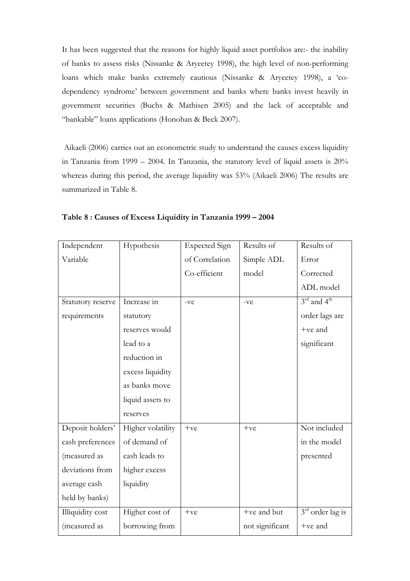It has been suggested that the reasons for highly liquid asset portfolios are:- the inability of banks to assess risks (Nissanke & Aryeetey 1998), the high level of non-performing loans which make banks extremely cautious (Nissanke & Aryeetey 1998), a 'codependency syndrome' between government and banks where banks invest heavily in government securities (Buchs & Mathisen 2005) and the lack of acceptable and "bankable" loans applications (Honohan & Beck 2007).

 Aikaeli (2006) carries out an econometric study to understand the causes excess liquidity in Tanzania from 1999 – 2004. In Tanzania, the statutory level of liquid assets is 20% whereas during this period, the average liquidity was 53% (Aikaeli 2006) The results are summarized in Table 8.

| Independent       | Hypothesis        | <b>Expected Sign</b> | Results of      | Results of                          |
|-------------------|-------------------|----------------------|-----------------|-------------------------------------|
| Variable          |                   | of Correlation       | Simple ADL      | Error                               |
|                   |                   | Co-efficient         | model           | Corrected                           |
|                   |                   |                      |                 | ADL model                           |
| Statutory reserve | Increase in       | -ve                  | $-ve$           | $3^{\text{rd}}$ and $4^{\text{th}}$ |
| requirements      | statutory         |                      |                 | order lags are                      |
|                   | reserves would    |                      |                 | $+ve$ and                           |
|                   | lead to a         |                      |                 | significant                         |
|                   | reduction in      |                      |                 |                                     |
|                   | excess liquidity  |                      |                 |                                     |
|                   | as banks move     |                      |                 |                                     |
|                   | liquid assets to  |                      |                 |                                     |
|                   | reserves          |                      |                 |                                     |
| Deposit holders'  | Higher volatility | $+ve$                | $+ve$           | Not included                        |
| cash preferences  | of demand of      |                      |                 | in the model                        |
| (measured as      | cash leads to     |                      |                 | presented                           |
| deviations from   | higher excess     |                      |                 |                                     |
| average cash      | liquidity         |                      |                 |                                     |
| held by banks)    |                   |                      |                 |                                     |
| Illiquidity cost  | Higher cost of    | $+ve$                | +ve and but     | $3rd$ order lag is                  |
| (measured as      | borrowing from    |                      | not significant | $+ve$ and                           |

Table 8 : Causes of Excess Liquidity in Tanzania 1999 – 2004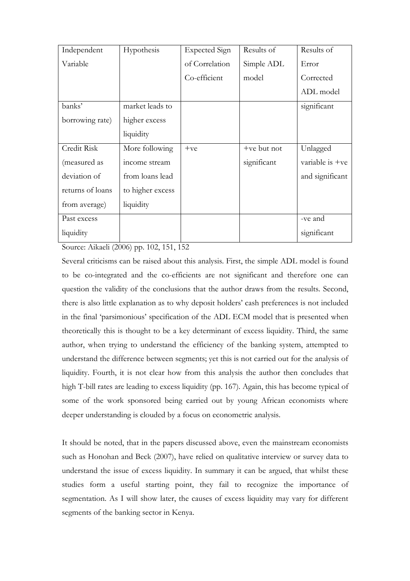| Independent      | Hypothesis       | <b>Expected Sign</b> | Results of    | Results of        |
|------------------|------------------|----------------------|---------------|-------------------|
| Variable         |                  | of Correlation       | Simple ADL    | Error             |
|                  |                  | Co-efficient         | model         | Corrected         |
|                  |                  |                      |               | ADL model         |
| banks'           | market leads to  |                      |               | significant       |
| borrowing rate)  | higher excess    |                      |               |                   |
|                  | liquidity        |                      |               |                   |
| Credit Risk      | More following   | $+ve$                | $+ve$ but not | Unlagged          |
| (measured as     | income stream    |                      | significant   | variable is $+ve$ |
| deviation of     | from loans lead  |                      |               | and significant   |
| returns of loans | to higher excess |                      |               |                   |
| from average)    | liquidity        |                      |               |                   |
| Past excess      |                  |                      |               | -ve and           |
| liquidity        |                  |                      |               | significant       |

Source: Aikaeli (2006) pp. 102, 151, 152

Several criticisms can be raised about this analysis. First, the simple ADL model is found to be co-integrated and the co-efficients are not significant and therefore one can question the validity of the conclusions that the author draws from the results. Second, there is also little explanation as to why deposit holders' cash preferences is not included in the final 'parsimonious' specification of the ADL ECM model that is presented when theoretically this is thought to be a key determinant of excess liquidity. Third, the same author, when trying to understand the efficiency of the banking system, attempted to understand the difference between segments; yet this is not carried out for the analysis of liquidity. Fourth, it is not clear how from this analysis the author then concludes that high T-bill rates are leading to excess liquidity (pp. 167). Again, this has become typical of some of the work sponsored being carried out by young African economists where deeper understanding is clouded by a focus on econometric analysis.

It should be noted, that in the papers discussed above, even the mainstream economists such as Honohan and Beck (2007), have relied on qualitative interview or survey data to understand the issue of excess liquidity. In summary it can be argued, that whilst these studies form a useful starting point, they fail to recognize the importance of segmentation. As I will show later, the causes of excess liquidity may vary for different segments of the banking sector in Kenya.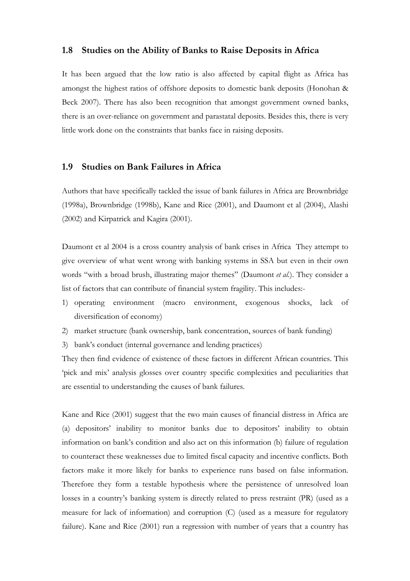#### 1.8 Studies on the Ability of Banks to Raise Deposits in Africa

It has been argued that the low ratio is also affected by capital flight as Africa has amongst the highest ratios of offshore deposits to domestic bank deposits (Honohan & Beck 2007). There has also been recognition that amongst government owned banks, there is an over-reliance on government and parastatal deposits. Besides this, there is very little work done on the constraints that banks face in raising deposits.

#### 1.9 Studies on Bank Failures in Africa

Authors that have specifically tackled the issue of bank failures in Africa are Brownbridge (1998a), Brownbridge (1998b), Kane and Rice (2001), and Daumont et al (2004), Alashi (2002) and Kirpatrick and Kagira (2001).

Daumont et al 2004 is a cross country analysis of bank crises in Africa They attempt to give overview of what went wrong with banking systems in SSA but even in their own words "with a broad brush, illustrating major themes" (Daumont et al.). They consider a list of factors that can contribute of financial system fragility. This includes:-

- 1) operating environment (macro environment, exogenous shocks, lack of diversification of economy)
- 2) market structure (bank ownership, bank concentration, sources of bank funding)
- 3) bank's conduct (internal governance and lending practices)

They then find evidence of existence of these factors in different African countries. This 'pick and mix' analysis glosses over country specific complexities and peculiarities that are essential to understanding the causes of bank failures.

Kane and Rice (2001) suggest that the two main causes of financial distress in Africa are (a) depositors' inability to monitor banks due to depositors' inability to obtain information on bank's condition and also act on this information (b) failure of regulation to counteract these weaknesses due to limited fiscal capacity and incentive conflicts. Both factors make it more likely for banks to experience runs based on false information. Therefore they form a testable hypothesis where the persistence of unresolved loan losses in a country's banking system is directly related to press restraint (PR) (used as a measure for lack of information) and corruption (C) (used as a measure for regulatory failure). Kane and Rice (2001) run a regression with number of years that a country has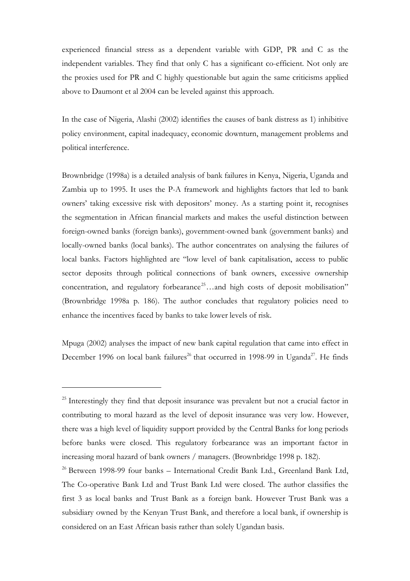experienced financial stress as a dependent variable with GDP, PR and C as the independent variables. They find that only C has a significant co-efficient. Not only are the proxies used for PR and C highly questionable but again the same criticisms applied above to Daumont et al 2004 can be leveled against this approach.

In the case of Nigeria, Alashi (2002) identifies the causes of bank distress as 1) inhibitive policy environment, capital inadequacy, economic downturn, management problems and political interference.

Brownbridge (1998a) is a detailed analysis of bank failures in Kenya, Nigeria, Uganda and Zambia up to 1995. It uses the P-A framework and highlights factors that led to bank owners' taking excessive risk with depositors' money. As a starting point it, recognises the segmentation in African financial markets and makes the useful distinction between foreign-owned banks (foreign banks), government-owned bank (government banks) and locally-owned banks (local banks). The author concentrates on analysing the failures of local banks. Factors highlighted are "low level of bank capitalisation, access to public sector deposits through political connections of bank owners, excessive ownership concentration, and regulatory for bearance<sup>25</sup>...and high costs of deposit mobilisation" (Brownbridge 1998a p. 186). The author concludes that regulatory policies need to enhance the incentives faced by banks to take lower levels of risk.

Mpuga (2002) analyses the impact of new bank capital regulation that came into effect in December 1996 on local bank failures<sup>26</sup> that occurred in 1998-99 in Uganda<sup>27</sup>. He finds

<sup>&</sup>lt;sup>25</sup> Interestingly they find that deposit insurance was prevalent but not a crucial factor in contributing to moral hazard as the level of deposit insurance was very low. However, there was a high level of liquidity support provided by the Central Banks for long periods before banks were closed. This regulatory forbearance was an important factor in increasing moral hazard of bank owners / managers. (Brownbridge 1998 p. 182).

 $26$  Between 1998-99 four banks – International Credit Bank Ltd., Greenland Bank Ltd, The Co-operative Bank Ltd and Trust Bank Ltd were closed. The author classifies the first 3 as local banks and Trust Bank as a foreign bank. However Trust Bank was a subsidiary owned by the Kenyan Trust Bank, and therefore a local bank, if ownership is considered on an East African basis rather than solely Ugandan basis.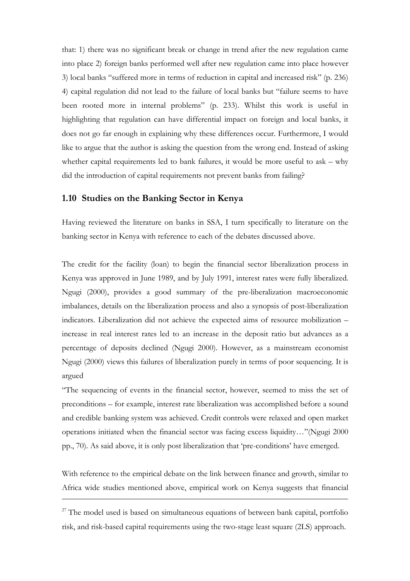that: 1) there was no significant break or change in trend after the new regulation came into place 2) foreign banks performed well after new regulation came into place however 3) local banks "suffered more in terms of reduction in capital and increased risk" (p. 236) 4) capital regulation did not lead to the failure of local banks but "failure seems to have been rooted more in internal problems" (p. 233). Whilst this work is useful in highlighting that regulation can have differential impact on foreign and local banks, it does not go far enough in explaining why these differences occur. Furthermore, I would like to argue that the author is asking the question from the wrong end. Instead of asking whether capital requirements led to bank failures, it would be more useful to ask – why did the introduction of capital requirements not prevent banks from failing?

#### 1.10 Studies on the Banking Sector in Kenya

Having reviewed the literature on banks in SSA, I turn specifically to literature on the banking sector in Kenya with reference to each of the debates discussed above.

The credit for the facility (loan) to begin the financial sector liberalization process in Kenya was approved in June 1989, and by July 1991, interest rates were fully liberalized. Ngugi (2000), provides a good summary of the pre-liberalization macroeconomic imbalances, details on the liberalization process and also a synopsis of post-liberalization indicators. Liberalization did not achieve the expected aims of resource mobilization – increase in real interest rates led to an increase in the deposit ratio but advances as a percentage of deposits declined (Ngugi 2000). However, as a mainstream economist Ngugi (2000) views this failures of liberalization purely in terms of poor sequencing. It is argued

"The sequencing of events in the financial sector, however, seemed to miss the set of preconditions – for example, interest rate liberalization was accomplished before a sound and credible banking system was achieved. Credit controls were relaxed and open market operations initiated when the financial sector was facing excess liquidity…"(Ngugi 2000 pp., 70). As said above, it is only post liberalization that 'pre-conditions' have emerged.

With reference to the empirical debate on the link between finance and growth, similar to Africa wide studies mentioned above, empirical work on Kenya suggests that financial

 $27$  The model used is based on simultaneous equations of between bank capital, portfolio risk, and risk-based capital requirements using the two-stage least square (2LS) approach.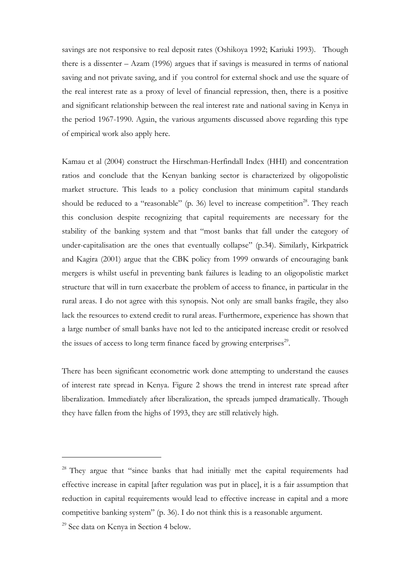savings are not responsive to real deposit rates (Oshikoya 1992; Kariuki 1993). Though there is a dissenter – Azam (1996) argues that if savings is measured in terms of national saving and not private saving, and if you control for external shock and use the square of the real interest rate as a proxy of level of financial repression, then, there is a positive and significant relationship between the real interest rate and national saving in Kenya in the period 1967-1990. Again, the various arguments discussed above regarding this type of empirical work also apply here.

Kamau et al (2004) construct the Hirschman-Herfindall Index (HHI) and concentration ratios and conclude that the Kenyan banking sector is characterized by oligopolistic market structure. This leads to a policy conclusion that minimum capital standards should be reduced to a "reasonable" (p. 36) level to increase competition<sup>28</sup>. They reach this conclusion despite recognizing that capital requirements are necessary for the stability of the banking system and that "most banks that fall under the category of under-capitalisation are the ones that eventually collapse" (p.34). Similarly, Kirkpatrick and Kagira (2001) argue that the CBK policy from 1999 onwards of encouraging bank mergers is whilst useful in preventing bank failures is leading to an oligopolistic market structure that will in turn exacerbate the problem of access to finance, in particular in the rural areas. I do not agree with this synopsis. Not only are small banks fragile, they also lack the resources to extend credit to rural areas. Furthermore, experience has shown that a large number of small banks have not led to the anticipated increase credit or resolved the issues of access to long term finance faced by growing enterprises<sup>29</sup>.

There has been significant econometric work done attempting to understand the causes of interest rate spread in Kenya. Figure 2 shows the trend in interest rate spread after liberalization. Immediately after liberalization, the spreads jumped dramatically. Though they have fallen from the highs of 1993, they are still relatively high.

l

<sup>&</sup>lt;sup>28</sup> They argue that "since banks that had initially met the capital requirements had effective increase in capital [after regulation was put in place], it is a fair assumption that reduction in capital requirements would lead to effective increase in capital and a more competitive banking system" (p. 36). I do not think this is a reasonable argument.

<sup>29</sup> See data on Kenya in Section 4 below.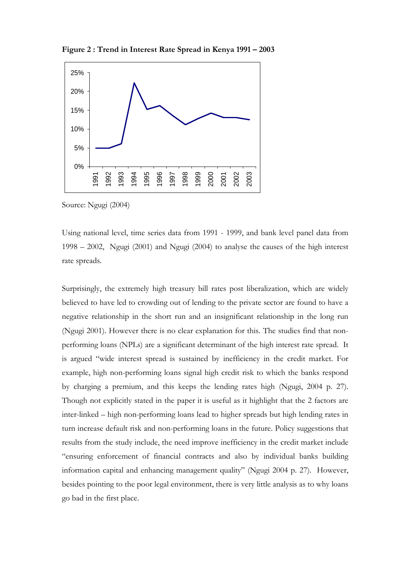Figure 2 : Trend in Interest Rate Spread in Kenya 1991 – 2003



Source: Ngugi (2004)

Using national level, time series data from 1991 - 1999, and bank level panel data from 1998 – 2002, Ngugi (2001) and Ngugi (2004) to analyse the causes of the high interest rate spreads.

Surprisingly, the extremely high treasury bill rates post liberalization, which are widely believed to have led to crowding out of lending to the private sector are found to have a negative relationship in the short run and an insignificant relationship in the long run (Ngugi 2001). However there is no clear explanation for this. The studies find that nonperforming loans (NPLs) are a significant determinant of the high interest rate spread. It is argued "wide interest spread is sustained by inefficiency in the credit market. For example, high non-performing loans signal high credit risk to which the banks respond by charging a premium, and this keeps the lending rates high (Ngugi, 2004 p. 27). Though not explicitly stated in the paper it is useful as it highlight that the 2 factors are inter-linked – high non-performing loans lead to higher spreads but high lending rates in turn increase default risk and non-performing loans in the future. Policy suggestions that results from the study include, the need improve inefficiency in the credit market include "ensuring enforcement of financial contracts and also by individual banks building information capital and enhancing management quality" (Ngugi 2004 p. 27). However, besides pointing to the poor legal environment, there is very little analysis as to why loans go bad in the first place.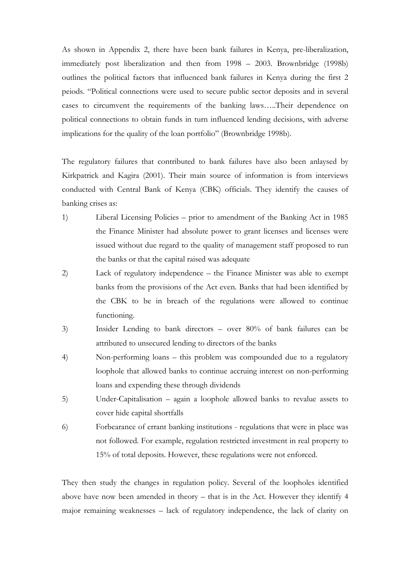As shown in Appendix 2, there have been bank failures in Kenya, pre-liberalization, immediately post liberalization and then from 1998 – 2003. Brownbridge (1998b) outlines the political factors that influenced bank failures in Kenya during the first 2 peiods. "Political connections were used to secure public sector deposits and in several cases to circumvent the requirements of the banking laws…..Their dependence on political connections to obtain funds in turn influenced lending decisions, with adverse implications for the quality of the loan portfolio" (Brownbridge 1998b).

The regulatory failures that contributed to bank failures have also been anlaysed by Kirkpatrick and Kagira (2001). Their main source of information is from interviews conducted with Central Bank of Kenya (CBK) officials. They identify the causes of banking crises as:

- 1) Liberal Licensing Policies prior to amendment of the Banking Act in 1985 the Finance Minister had absolute power to grant licenses and licenses were issued without due regard to the quality of management staff proposed to run the banks or that the capital raised was adequate
- 2) Lack of regulatory independence the Finance Minister was able to exempt banks from the provisions of the Act even. Banks that had been identified by the CBK to be in breach of the regulations were allowed to continue functioning.
- 3) Insider Lending to bank directors over 80% of bank failures can be attributed to unsecured lending to directors of the banks
- 4) Non-performing loans this problem was compounded due to a regulatory loophole that allowed banks to continue accruing interest on non-performing loans and expending these through dividends
- 5) Under-Capitalisation again a loophole allowed banks to revalue assets to cover hide capital shortfalls
- 6) Forbearance of errant banking institutions regulations that were in place was not followed. For example, regulation restricted investment in real property to 15% of total deposits. However, these regulations were not enforced.

They then study the changes in regulation policy. Several of the loopholes identified above have now been amended in theory – that is in the Act. However they identify 4 major remaining weaknesses – lack of regulatory independence, the lack of clarity on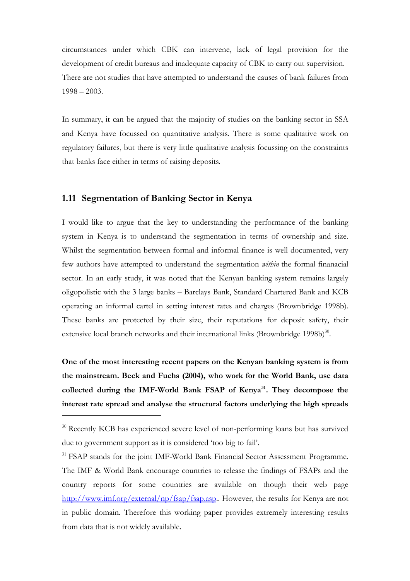circumstances under which CBK can intervene, lack of legal provision for the development of credit bureaus and inadequate capacity of CBK to carry out supervision. There are not studies that have attempted to understand the causes of bank failures from 1998 – 2003.

In summary, it can be argued that the majority of studies on the banking sector in SSA and Kenya have focussed on quantitative analysis. There is some qualitative work on regulatory failures, but there is very little qualitative analysis focussing on the constraints that banks face either in terms of raising deposits.

### 1.11 Segmentation of Banking Sector in Kenya

l

I would like to argue that the key to understanding the performance of the banking system in Kenya is to understand the segmentation in terms of ownership and size. Whilst the segmentation between formal and informal finance is well documented, very few authors have attempted to understand the segmentation within the formal finanacial sector. In an early study, it was noted that the Kenyan banking system remains largely oligopolistic with the 3 large banks – Barclays Bank, Standard Chartered Bank and KCB operating an informal cartel in setting interest rates and charges (Brownbridge 1998b). These banks are protected by their size, their reputations for deposit safety, their extensive local branch networks and their international links (Brownbridge 1998b) $^{30}$ .

One of the most interesting recent papers on the Kenyan banking system is from the mainstream. Beck and Fuchs (2004), who work for the World Bank, use data collected during the IMF-World Bank FSAP of Kenya<sup>31</sup>. They decompose the interest rate spread and analyse the structural factors underlying the high spreads

<sup>&</sup>lt;sup>30</sup> Recently KCB has experienced severe level of non-performing loans but has survived due to government support as it is considered 'too big to fail'.

<sup>&</sup>lt;sup>31</sup> FSAP stands for the joint IMF-World Bank Financial Sector Assessment Programme. The IMF & World Bank encourage countries to release the findings of FSAPs and the country reports for some countries are available on though their web page http://www.imf.org/external/np/fsap/fsap.asp.. However, the results for Kenya are not in public domain. Therefore this working paper provides extremely interesting results from data that is not widely available.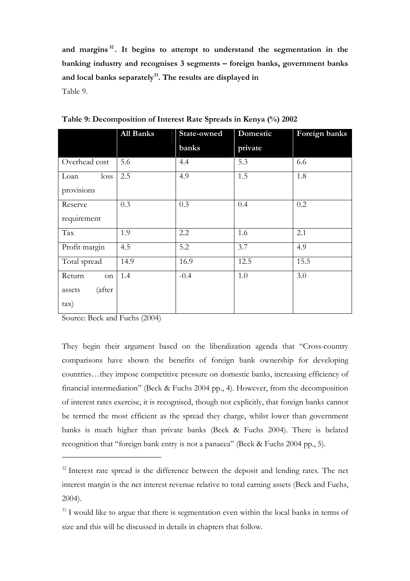and margins<sup>32</sup>. It begins to attempt to understand the segmentation in the banking industry and recognises 3 segments – foreign banks, government banks and local banks separately $33$ . The results are displayed in Table 9.

|                  | <b>All Banks</b> | State-owned | Domestic | Foreign banks |
|------------------|------------------|-------------|----------|---------------|
|                  |                  | banks       | private  |               |
| Overhead cost    | 5.6              | 4.4         | 5.3      | 6.6           |
| loss<br>Loan     | 2.5              | 4.9         | 1.5      | 1.8           |
| provisions       |                  |             |          |               |
| Reserve          | 0.3              | 0.3         | 0.4      | 0.2           |
| requirement      |                  |             |          |               |
| Tax              | 1.9              | 2.2         | 1.6      | 2.1           |
| Profit margin    | 4.5              | 5.2         | 3.7      | 4.9           |
| Total spread     | 14.9             | 16.9        | 12.5     | 15.5          |
| Return<br>on     | 1.4              | $-0.4$      | 1.0      | 3.0           |
| (after<br>assets |                  |             |          |               |
| $\tan$           |                  |             |          |               |

Table 9: Decomposition of Interest Rate Spreads in Kenya (%) 2002

Source: Beck and Fuchs (2004)

l

They begin their argument based on the liberalization agenda that "Cross-country comparisons have shown the benefits of foreign bank ownership for developing countries…they impose competitive pressure on domestic banks, increasing efficiency of financial intermediation" (Beck & Fuchs 2004 pp., 4). However, from the decomposition of interest rates exercise, it is recognised, though not explicitly, that foreign banks cannot be termed the most efficient as the spread they charge, whilst lower than government banks is much higher than private banks (Beck & Fuchs 2004). There is belated recognition that "foreign bank entry is not a panacea" (Beck & Fuchs 2004 pp., 5).

 $32$  Interest rate spread is the difference between the deposit and lending rates. The net interest margin is the net interest revenue relative to total earning assets (Beck and Fuchs, 2004).

<sup>&</sup>lt;sup>33</sup> I would like to argue that there is segmentation even within the local banks in terms of size and this will be discussed in details in chapters that follow.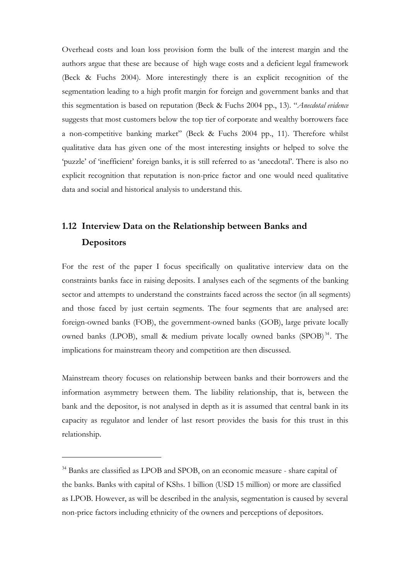Overhead costs and loan loss provision form the bulk of the interest margin and the authors argue that these are because of high wage costs and a deficient legal framework (Beck & Fuchs 2004). More interestingly there is an explicit recognition of the segmentation leading to a high profit margin for foreign and government banks and that this segmentation is based on reputation (Beck & Fuchs 2004 pp., 13). "Anecdotal evidence suggests that most customers below the top tier of corporate and wealthy borrowers face a non-competitive banking market" (Beck & Fuchs 2004 pp., 11). Therefore whilst qualitative data has given one of the most interesting insights or helped to solve the 'puzzle' of 'inefficient' foreign banks, it is still referred to as 'anecdotal'. There is also no explicit recognition that reputation is non-price factor and one would need qualitative data and social and historical analysis to understand this.

# 1.12 Interview Data on the Relationship between Banks and **Depositors**

For the rest of the paper I focus specifically on qualitative interview data on the constraints banks face in raising deposits. I analyses each of the segments of the banking sector and attempts to understand the constraints faced across the sector (in all segments) and those faced by just certain segments. The four segments that are analysed are: foreign-owned banks (FOB), the government-owned banks (GOB), large private locally owned banks (LPOB), small & medium private locally owned banks (SPOB)<sup>34</sup>. The implications for mainstream theory and competition are then discussed.

Mainstream theory focuses on relationship between banks and their borrowers and the information asymmetry between them. The liability relationship, that is, between the bank and the depositor, is not analysed in depth as it is assumed that central bank in its capacity as regulator and lender of last resort provides the basis for this trust in this relationship.

l

<sup>34</sup> Banks are classified as LPOB and SPOB, on an economic measure - share capital of the banks. Banks with capital of KShs. 1 billion (USD 15 million) or more are classified as LPOB. However, as will be described in the analysis, segmentation is caused by several non-price factors including ethnicity of the owners and perceptions of depositors.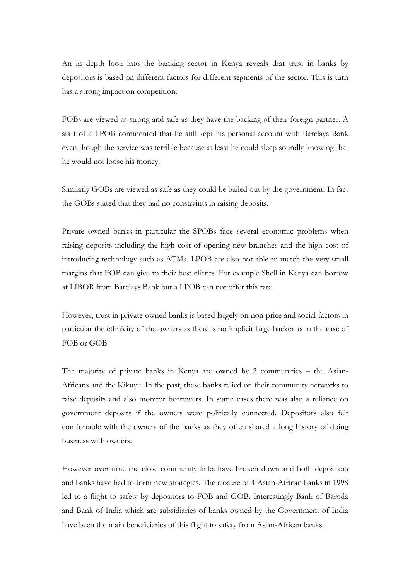An in depth look into the banking sector in Kenya reveals that trust in banks by depositors is based on different factors for different segments of the sector. This is turn has a strong impact on competition.

FOBs are viewed as strong and safe as they have the backing of their foreign partner. A staff of a LPOB commented that he still kept his personal account with Barclays Bank even though the service was terrible because at least he could sleep soundly knowing that he would not loose his money.

Similarly GOBs are viewed as safe as they could be bailed out by the government. In fact the GOBs stated that they had no constraints in raising deposits.

Private owned banks in particular the SPOBs face several economic problems when raising deposits including the high cost of opening new branches and the high cost of introducing technology such as ATMs. LPOB are also not able to match the very small margins that FOB can give to their best clients. For example Shell in Kenya can borrow at LIBOR from Barclays Bank but a LPOB can not offer this rate.

However, trust in private owned banks is based largely on non-price and social factors in particular the ethnicity of the owners as there is no implicit large backer as in the case of FOB or GOB.

The majority of private banks in Kenya are owned by 2 communities – the Asian-Africans and the Kikuyu. In the past, these banks relied on their community networks to raise deposits and also monitor borrowers. In some cases there was also a reliance on government deposits if the owners were politically connected. Depositors also felt comfortable with the owners of the banks as they often shared a long history of doing business with owners.

However over time the close community links have broken down and both depositors and banks have had to form new strategies. The closure of 4 Asian-African banks in 1998 led to a flight to safety by depositors to FOB and GOB. Interestingly Bank of Baroda and Bank of India which are subsidiaries of banks owned by the Government of India have been the main beneficiaries of this flight to safety from Asian-African banks.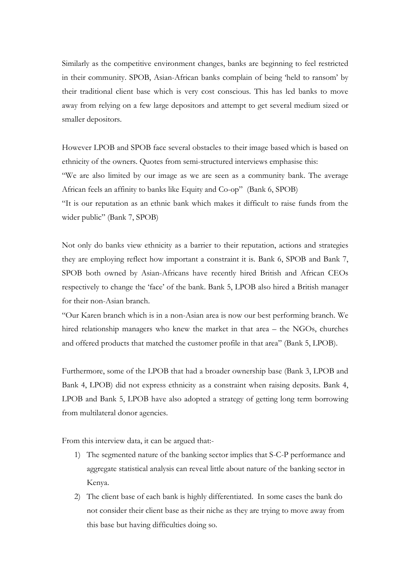Similarly as the competitive environment changes, banks are beginning to feel restricted in their community. SPOB, Asian-African banks complain of being 'held to ransom' by their traditional client base which is very cost conscious. This has led banks to move away from relying on a few large depositors and attempt to get several medium sized or smaller depositors.

However LPOB and SPOB face several obstacles to their image based which is based on ethnicity of the owners. Quotes from semi-structured interviews emphasise this:

"We are also limited by our image as we are seen as a community bank. The average African feels an affinity to banks like Equity and Co-op" (Bank 6, SPOB)

"It is our reputation as an ethnic bank which makes it difficult to raise funds from the wider public" (Bank 7, SPOB)

Not only do banks view ethnicity as a barrier to their reputation, actions and strategies they are employing reflect how important a constraint it is. Bank 6, SPOB and Bank 7, SPOB both owned by Asian-Africans have recently hired British and African CEOs respectively to change the 'face' of the bank. Bank 5, LPOB also hired a British manager for their non-Asian branch.

"Our Karen branch which is in a non-Asian area is now our best performing branch. We hired relationship managers who knew the market in that area – the NGOs, churches and offered products that matched the customer profile in that area" (Bank 5, LPOB).

Furthermore, some of the LPOB that had a broader ownership base (Bank 3, LPOB and Bank 4, LPOB) did not express ethnicity as a constraint when raising deposits. Bank 4, LPOB and Bank 5, LPOB have also adopted a strategy of getting long term borrowing from multilateral donor agencies.

From this interview data, it can be argued that:-

- 1) The segmented nature of the banking sector implies that S-C-P performance and aggregate statistical analysis can reveal little about nature of the banking sector in Kenya.
- 2) The client base of each bank is highly differentiated. In some cases the bank do not consider their client base as their niche as they are trying to move away from this base but having difficulties doing so.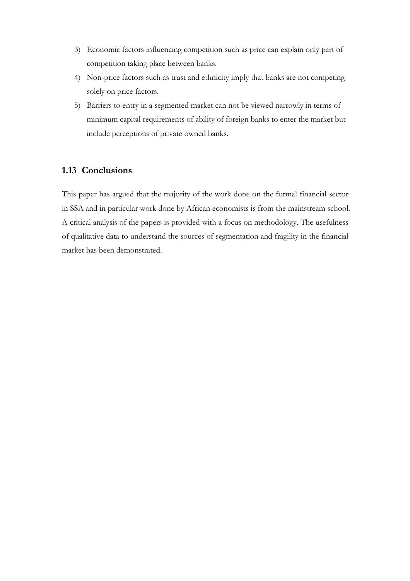- 3) Economic factors influencing competition such as price can explain only part of competition taking place between banks.
- 4) Non-price factors such as trust and ethnicity imply that banks are not competing solely on price factors.
- 5) Barriers to entry in a segmented market can not be viewed narrowly in terms of minimum capital requirements of ability of foreign banks to enter the market but include perceptions of private owned banks.

## 1.13 Conclusions

This paper has argued that the majority of the work done on the formal financial sector in SSA and in particular work done by African economists is from the mainstream school. A critical analysis of the papers is provided with a focus on methodology. The usefulness of qualitative data to understand the sources of segmentation and fragility in the financial market has been demonstrated.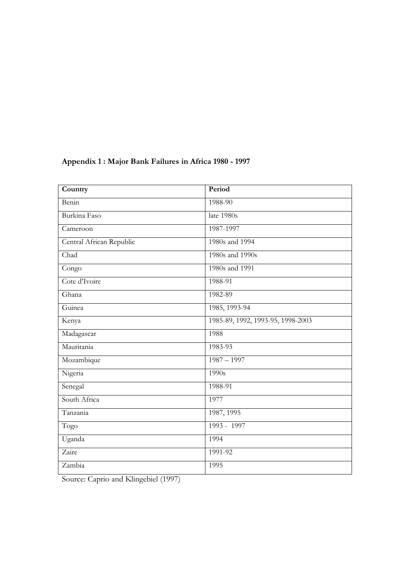| Country                  | Period                            |
|--------------------------|-----------------------------------|
| Benin                    | 1988-90                           |
| Burkina Faso             | late 1980s                        |
| Cameroon                 | 1987-1997                         |
| Central African Republic | 1980s and 1994                    |
| Chad                     | 1980s and 1990s                   |
| Congo                    | 1980s and 1991                    |
| Cote d'Ivoire            | 1988-91                           |
| Ghana                    | 1982-89                           |
| Guinea                   | 1985, 1993-94                     |
| Kenya                    | 1985-89, 1992, 1993-95, 1998-2003 |
| Madagascar               | 1988                              |
| Mauritania               | 1983-93                           |
| Mozambique               | $1987 - 1997$                     |
| Nigeria                  | 1990s                             |
| Senegal                  | 1988-91                           |
| South Africa             | 1977                              |
| Tanzania                 | 1987, 1995                        |
| Togo                     | 1993 - 1997                       |
| Uganda                   | 1994                              |
| Zaire                    | 1991-92                           |
| Zambia                   | 1995                              |

## Appendix 1 : Major Bank Failures in Africa 1980 - 1997

Source: Caprio and Klingebiel (1997)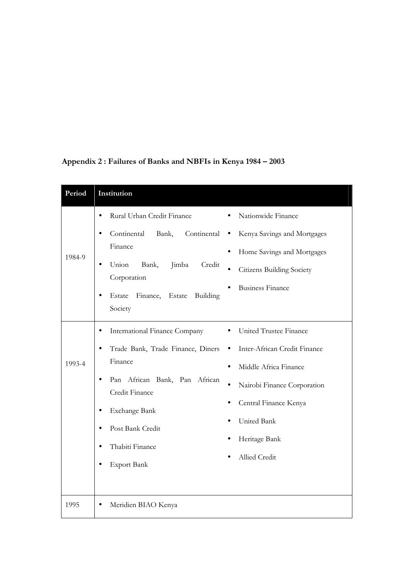| Period | Institution                                                                                                                                                                                                                                                                                                                                                                                                                             |
|--------|-----------------------------------------------------------------------------------------------------------------------------------------------------------------------------------------------------------------------------------------------------------------------------------------------------------------------------------------------------------------------------------------------------------------------------------------|
| 1984-9 | Rural Urban Credit Finance<br>Nationwide Finance<br>$\bullet$<br>Continental<br>Continental<br>Bank,<br>Kenya Savings and Mortgages<br>٠<br>$\bullet$<br>Finance<br>Home Savings and Mortgages<br>Union<br>Bank,<br>Jimba<br>Credit<br><b>Citizens Building Society</b><br>Corporation<br><b>Business Finance</b>                                                                                                                       |
|        | Estate<br>Finance, Estate<br>Building<br>$\bullet$<br>Society                                                                                                                                                                                                                                                                                                                                                                           |
| 1993-4 | United Trustee Finance<br>International Finance Company<br>Trade Bank, Trade Finance, Diners<br>Inter-African Credit Finance<br>Finance<br>Middle Africa Finance<br>African Bank, Pan African<br>Pan<br>Nairobi Finance Corporation<br>Credit Finance<br>Central Finance Kenya<br>Exchange Bank<br>$\bullet$<br>United Bank<br>Post Bank Credit<br>$\bullet$<br>Heritage Bank<br>Thabiti Finance<br>Allied Credit<br><b>Export Bank</b> |
| 1995   | Meridien BIAO Kenya                                                                                                                                                                                                                                                                                                                                                                                                                     |

# Appendix 2 : Failures of Banks and NBFIs in Kenya 1984 – 2003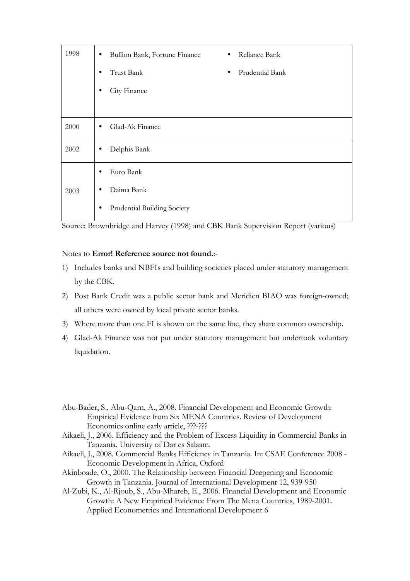| 1998 | Bullion Bank, Fortune Finance<br>$\bullet$ | Reliance Bank<br>$\bullet$   |
|------|--------------------------------------------|------------------------------|
|      | Trust Bank<br>$\bullet$                    | Prudential Bank<br>$\bullet$ |
|      | City Finance                               |                              |
|      |                                            |                              |
| 2000 | Glad-Ak Finance<br>$\bullet$               |                              |
| 2002 | Delphis Bank<br>$\bullet$                  |                              |
|      | Euro Bank<br>$\bullet$                     |                              |
| 2003 | Daima Bank                                 |                              |
|      | Prudential Building Society<br>٠           |                              |

Source: Brownbridge and Harvey (1998) and CBK Bank Supervision Report (various)

#### Notes to Error! Reference source not found.:-

- 1) Includes banks and NBFIs and building societies placed under statutory management by the CBK.
- 2) Post Bank Credit was a public sector bank and Meridien BIAO was foreign-owned; all others were owned by local private sector banks.
- 3) Where more than one FI is shown on the same line, they share common ownership.
- 4) Glad-Ak Finance was not put under statutory management but undertook voluntary liquidation.
- Abu-Bader, S., Abu-Qarn, A., 2008. Financial Development and Economic Growth: Empirical Evidence from Six MENA Countries. Review of Development Economics online early article, ???-???
- Aikaeli, J., 2006. Efficiency and the Problem of Excess Liquidity in Commercial Banks in Tanzania. University of Dar es Salaam.
- Aikaeli, J., 2008. Commercial Banks Efficiency in Tanzania. In: CSAE Conference 2008 Economic Development in Africa, Oxford
- Akinboade, O., 2000. The Relationship between Financial Deepening and Economic Growth in Tanzania. Journal of International Development 12, 939-950
- Al-Zubi, K., Al-Rjoub, S., Abu-Mhareb, E., 2006. Financial Development and Economic Growth: A New Empirical Evidence From The Mena Countries, 1989-2001. Applied Econometrics and International Development 6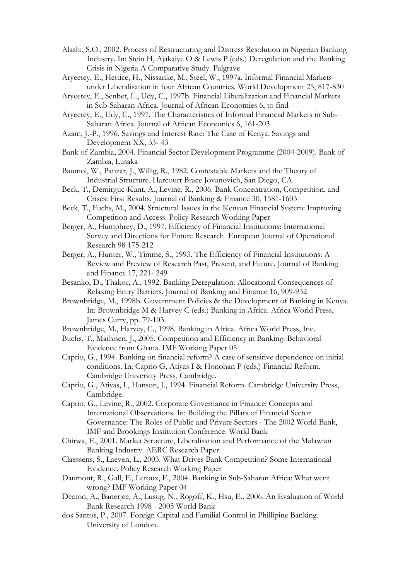- Alashi, S.O., 2002. Process of Restructuring and Distress Resolution in Nigerian Banking Industry. In: Stein H, Ajakaiye O & Lewis P (eds.) Deregulation and the Banking Crisis in Nigeria A Comparative Study. Palgrave
- Aryeetey, E., Hettice, H., Nissanke, M., Steel, W., 1997a. Informal Financial Markets under Liberalisation in four African Countries. World Development 25, 817-830
- Aryeetey, E., Senbet, L., Udy, C., 1997b. Financial Liberalization and Financial Markets in Sub-Saharan Africa. Journal of African Economies 6, to find
- Aryeetey, E., Udy, C., 1997. The Characteristics of Informal Financial Markets in Sub-Saharan Africa. Journal of African Economies 6, 161-203
- Azam, J.-P., 1996. Savings and Interest Rate: The Case of Kenya. Savings and Development XX, 33- 43
- Bank of Zambia, 2004. Financial Sector Development Programme (2004-2009). Bank of Zambia, Lusaka
- Baumol, W., Panzar, J., Willig, R., 1982. Contestable Markets and the Theory of Industrial Structure. Harcourt Brace Jovanovich, San Diego, CA.
- Beck, T., Demirguc-Kunt, A., Levine, R., 2006. Bank Concentration, Competition, and Crises: First Results. Journal of Banking & Finance 30, 1581-1603
- Beck, T., Fuchs, M., 2004. Structural Issues in the Kenyan Financial System: Improving Competition and Access. Policy Research Working Paper
- Berger, A., Humphrey, D., 1997. Efficiency of Financial Institutions: International Survey and Directions for Future Research European Journal of Operational Research 98 175-212
- Berger, A., Hunter, W., Timme, S., 1993. The Efficiency of Financial Institutions: A Review and Preview of Research Past, Present, and Future. Journal of Banking and Finance 17, 221- 249
- Besanko, D., Thakor, A., 1992. Banking Deregulation: Allocational Consequences of Relaxing Entry Barriers. Journal of Banking and Finance 16, 909-932
- Brownbridge, M., 1998b. Government Policies & the Development of Banking in Kenya. In: Brownbridge M & Harvey C (eds.) Banking in Africa. Africa World Press, James Curry, pp. 79-103.
- Brownbridge, M., Harvey, C., 1998. Banking in Africa. Africa World Press, Inc.
- Buchs, T., Mathisen, J., 2005. Competition and Efficiency in Banking: Behavioral Evidence from Ghana. IMF Working Paper 05
- Caprio, G., 1994. Banking on financial reform? A case of sensitive dependence on initial conditions. In: Caprio G, Atiyas I & Honohan P (eds.) Financial Reform. Cambridge University Press, Cambridge.
- Caprio, G., Atiyas, I., Hanson, J., 1994. Financial Reform. Cambridge University Press, Cambridge.
- Caprio, G., Levine, R., 2002. Corporate Governance in Finance: Concepts and International Observations. In: Building the Pillars of Financial Sector Governance: The Roles of Public and Private Sectors - The 2002 World Bank, IMF and Brookings Institution Conference. World Bank
- Chirwa, E., 2001. Market Structure, Liberalisation and Performance of the Malawian Banking Industry. AERC Research Paper
- Claessens, S., Laeven, L., 2003. What Drives Bank Competition? Some International Evidence. Policy Research Working Paper
- Daumont, R., Gall, F., Leroux, F., 2004. Banking in Sub-Saharan Africa: What went wrong? IMF Working Paper 04
- Deaton, A., Banerjee, A., Lustig, N., Rogoff, K., Hsu, E., 2006. An Evaluation of World Bank Research 1998 - 2005 World Bank
- dos Santos, P., 2007. Foreign Capital and Familial Control in Phillipine Banking. University of London.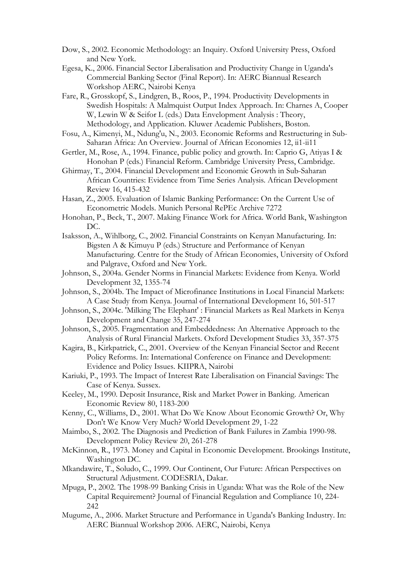- Dow, S., 2002. Economic Methodology: an Inquiry. Oxford University Press, Oxford and New York.
- Egesa, K., 2006. Financial Sector Liberalisation and Productivity Change in Uganda's Commercial Banking Sector (Final Report). In: AERC Biannual Research Workshop AERC, Nairobi Kenya
- Fare, R., Grosskopf, S., Lindgren, B., Roos, P., 1994. Productivity Developments in Swedish Hospitals: A Malmquist Output Index Approach. In: Charnes A, Cooper W, Lewin W & Seifor L (eds.) Data Envelopment Analysis : Theory, Methodology, and Application. Kluwer Academic Publishers, Boston.
- Fosu, A., Kimenyi, M., Ndung'u, N., 2003. Economic Reforms and Restructuring in Sub-Saharan Africa: An Overview. Journal of African Economies 12, ii1-ii11
- Gertler, M., Rose, A., 1994. Finance, public policy and growth. In: Caprio G, Atiyas I & Honohan P (eds.) Financial Reform. Cambridge University Press, Cambridge.
- Ghirmay, T., 2004. Financial Development and Economic Growth in Sub-Saharan African Countries: Evidence from Time Series Analysis. African Development Review 16, 415-432
- Hasan, Z., 2005. Evaluation of Islamic Banking Performance: On the Current Use of Econometric Models. Munich Personal RePEc Archive 7272
- Honohan, P., Beck, T., 2007. Making Finance Work for Africa. World Bank, Washington DC.
- Isaksson, A., Wihlborg, C., 2002. Financial Constraints on Kenyan Manufacturing. In: Bigsten A & Kimuyu P (eds.) Structure and Performance of Kenyan Manufacturing. Centre for the Study of African Economies, University of Oxford and Palgrave, Oxford and New York.
- Johnson, S., 2004a. Gender Norms in Financial Markets: Evidence from Kenya. World Development 32, 1355-74
- Johnson, S., 2004b. The Impact of Microfinance Institutions in Local Financial Markets: A Case Study from Kenya. Journal of International Development 16, 501-517
- Johnson, S., 2004c. 'Milking The Elephant' : Financial Markets as Real Markets in Kenya Development and Change 35, 247-274
- Johnson, S., 2005. Fragmentation and Embeddedness: An Alternative Approach to the Analysis of Rural Financial Markets. Oxford Development Studies 33, 357-375
- Kagira, B., Kirkpatrick, C., 2001. Overview of the Kenyan Financial Sector and Recent Policy Reforms. In: International Conference on Finance and Development: Evidence and Policy Issues. KIIPRA, Nairobi
- Kariuki, P., 1993. The Impact of Interest Rate Liberalisation on Financial Savings: The Case of Kenya. Sussex.
- Keeley, M., 1990. Deposit Insurance, Risk and Market Power in Banking. American Economic Review 80, 1183-200
- Kenny, C., Williams, D., 2001. What Do We Know About Economic Growth? Or, Why Don't We Know Very Much? World Development 29, 1-22
- Maimbo, S., 2002. The Diagnosis and Prediction of Bank Failures in Zambia 1990-98. Development Policy Review 20, 261-278
- McKinnon, R., 1973. Money and Capital in Economic Development. Brookings Institute, Washington DC.
- Mkandawire, T., Soludo, C., 1999. Our Continent, Our Future: African Perspectives on Structural Adjustment. CODESRIA, Dakar.
- Mpuga, P., 2002. The 1998-99 Banking Crisis in Uganda: What was the Role of the New Capital Requirement? Journal of Financial Regulation and Compliance 10, 224- 242
- Mugume, A., 2006. Market Structure and Performance in Uganda's Banking Industry. In: AERC Biannual Workshop 2006. AERC, Nairobi, Kenya